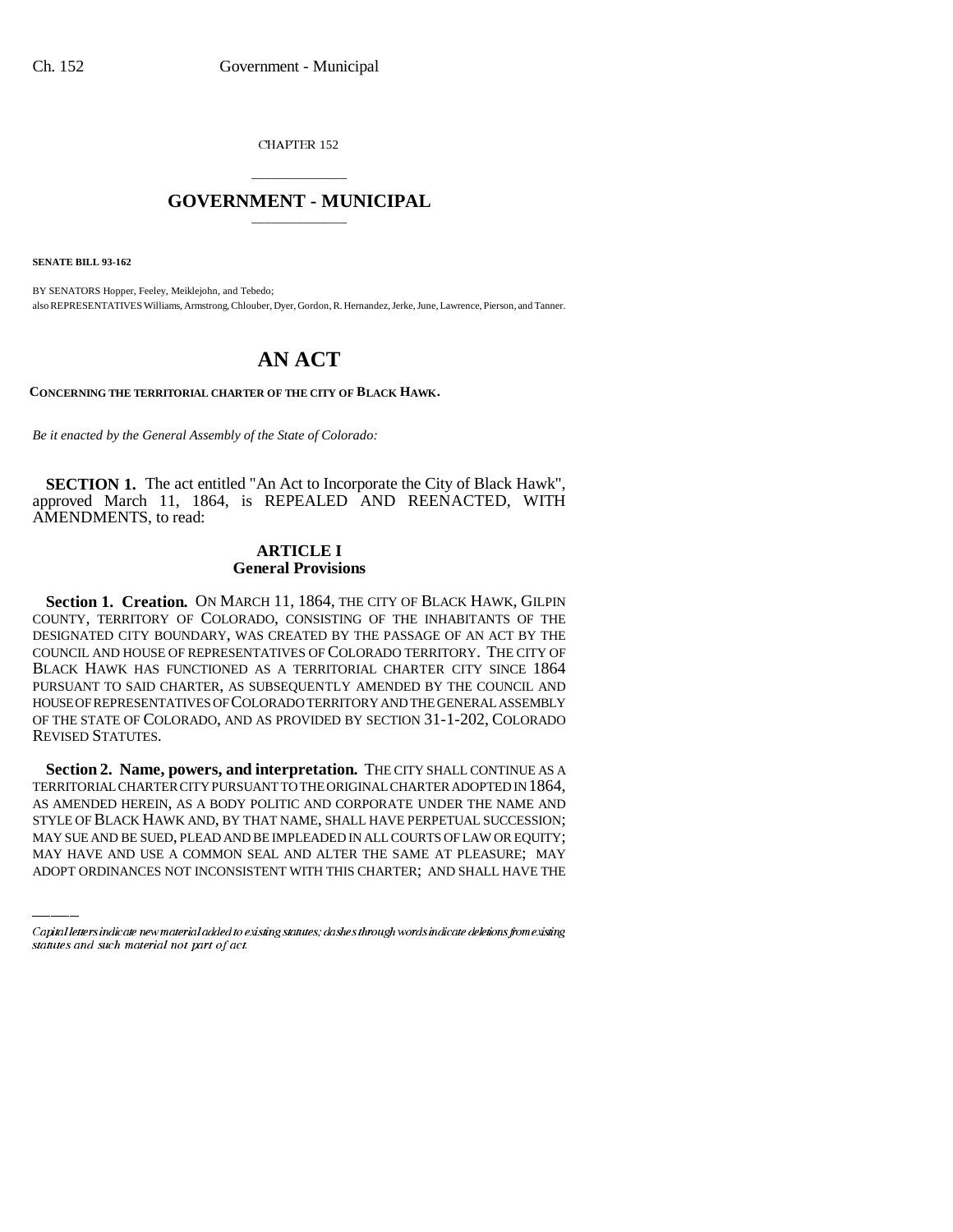CHAPTER 152

# \_\_\_\_\_\_\_\_\_\_\_\_\_\_\_ **GOVERNMENT - MUNICIPAL** \_\_\_\_\_\_\_\_\_\_\_\_\_\_\_

**SENATE BILL 93-162**

BY SENATORS Hopper, Feeley, Meiklejohn, and Tebedo; also REPRESENTATIVES Williams, Armstrong, Chlouber, Dyer, Gordon, R. Hernandez, Jerke, June, Lawrence, Pierson, and Tanner.

# **AN ACT**

**CONCERNING THE TERRITORIAL CHARTER OF THE CITY OF BLACK HAWK.**

*Be it enacted by the General Assembly of the State of Colorado:*

**SECTION 1.** The act entitled "An Act to Incorporate the City of Black Hawk". approved March 11, 1864, is REPEALED AND REENACTED, WITH AMENDMENTS, to read:

## **ARTICLE I General Provisions**

Section 1. Creation. ON MARCH 11, 1864, THE CITY OF BLACK HAWK, GILPIN COUNTY, TERRITORY OF COLORADO, CONSISTING OF THE INHABITANTS OF THE DESIGNATED CITY BOUNDARY, WAS CREATED BY THE PASSAGE OF AN ACT BY THE COUNCIL AND HOUSE OF REPRESENTATIVES OF COLORADO TERRITORY. THE CITY OF BLACK HAWK HAS FUNCTIONED AS A TERRITORIAL CHARTER CITY SINCE 1864 PURSUANT TO SAID CHARTER, AS SUBSEQUENTLY AMENDED BY THE COUNCIL AND HOUSE OF REPRESENTATIVES OF COLORADO TERRITORY AND THE GENERAL ASSEMBLY OF THE STATE OF COLORADO, AND AS PROVIDED BY SECTION 31-1-202, COLORADO REVISED STATUTES.

AS AMENDED HEREIN, AS A BODY POLITIC AND CORPORATE UNDER THE NAME AND Section 2. Name, powers, and interpretation. THE CITY SHALL CONTINUE AS A TERRITORIAL CHARTER CITY PURSUANT TO THE ORIGINAL CHARTER ADOPTED IN 1864, STYLE OF BLACK HAWK AND, BY THAT NAME, SHALL HAVE PERPETUAL SUCCESSION; MAY SUE AND BE SUED, PLEAD AND BE IMPLEADED IN ALL COURTS OF LAW OR EQUITY; MAY HAVE AND USE A COMMON SEAL AND ALTER THE SAME AT PLEASURE; MAY ADOPT ORDINANCES NOT INCONSISTENT WITH THIS CHARTER; AND SHALL HAVE THE

Capital letters indicate new material added to existing statutes; dashes through words indicate deletions from existing statutes and such material not part of act.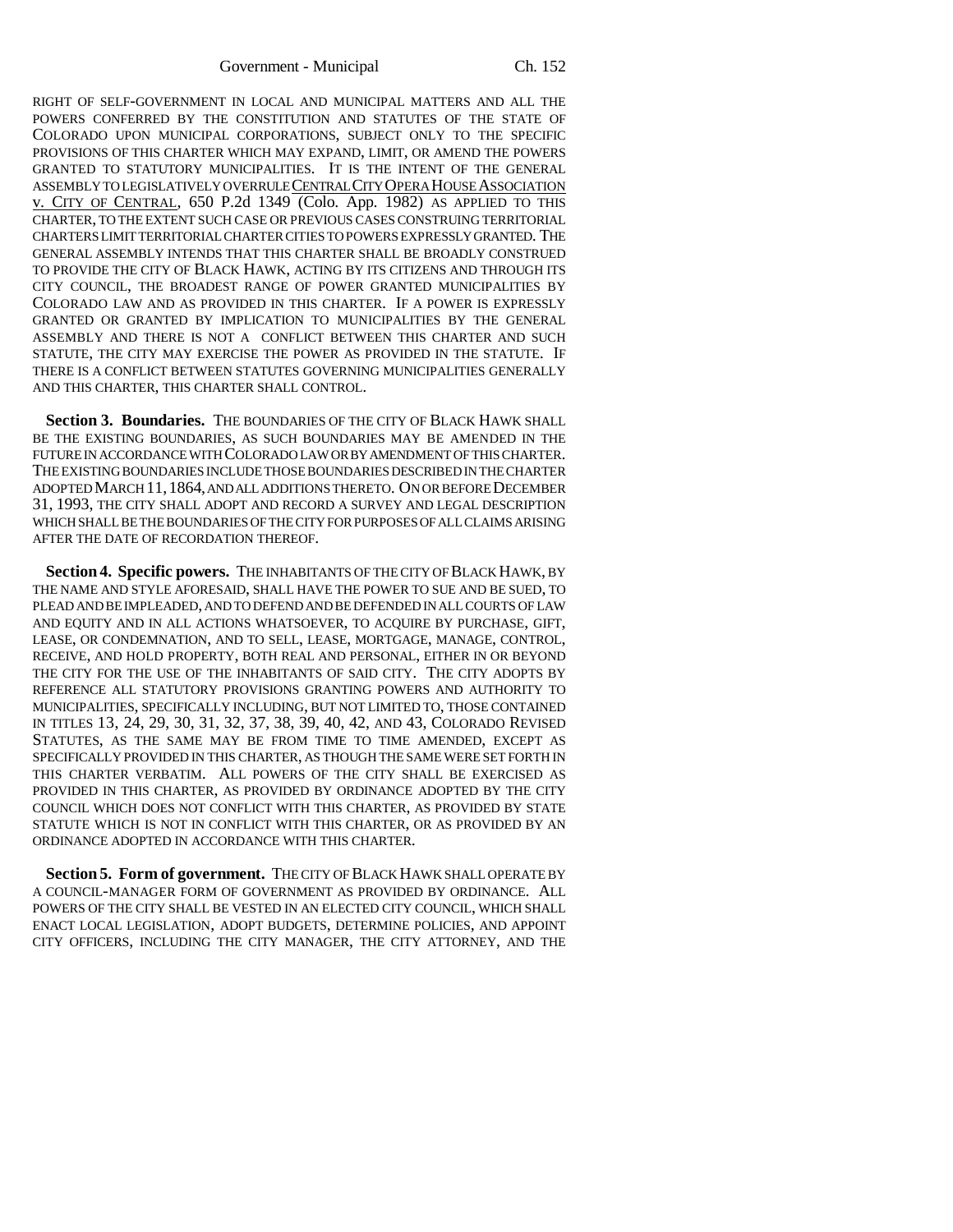Government - Municipal Ch. 152

RIGHT OF SELF-GOVERNMENT IN LOCAL AND MUNICIPAL MATTERS AND ALL THE POWERS CONFERRED BY THE CONSTITUTION AND STATUTES OF THE STATE OF COLORADO UPON MUNICIPAL CORPORATIONS, SUBJECT ONLY TO THE SPECIFIC PROVISIONS OF THIS CHARTER WHICH MAY EXPAND, LIMIT, OR AMEND THE POWERS GRANTED TO STATUTORY MUNICIPALITIES. IT IS THE INTENT OF THE GENERAL ASSEMBLY TO LEGISLATIVELY OVERRULE CENTRAL CITY OPERA HOUSE ASSOCIATION v. CITY OF CENTRAL, 650 P.2d 1349 (Colo. App. 1982) AS APPLIED TO THIS CHARTER, TO THE EXTENT SUCH CASE OR PREVIOUS CASES CONSTRUING TERRITORIAL CHARTERS LIMIT TERRITORIAL CHARTER CITIES TO POWERS EXPRESSLY GRANTED. THE GENERAL ASSEMBLY INTENDS THAT THIS CHARTER SHALL BE BROADLY CONSTRUED TO PROVIDE THE CITY OF BLACK HAWK, ACTING BY ITS CITIZENS AND THROUGH ITS CITY COUNCIL, THE BROADEST RANGE OF POWER GRANTED MUNICIPALITIES BY COLORADO LAW AND AS PROVIDED IN THIS CHARTER. IF A POWER IS EXPRESSLY GRANTED OR GRANTED BY IMPLICATION TO MUNICIPALITIES BY THE GENERAL ASSEMBLY AND THERE IS NOT A CONFLICT BETWEEN THIS CHARTER AND SUCH STATUTE, THE CITY MAY EXERCISE THE POWER AS PROVIDED IN THE STATUTE. IF THERE IS A CONFLICT BETWEEN STATUTES GOVERNING MUNICIPALITIES GENERALLY AND THIS CHARTER, THIS CHARTER SHALL CONTROL.

Section 3. Boundaries. The BOUNDARIES OF THE CITY OF BLACK HAWK SHALL BE THE EXISTING BOUNDARIES, AS SUCH BOUNDARIES MAY BE AMENDED IN THE FUTURE IN ACCORDANCE WITH COLORADO LAW OR BY AMENDMENT OF THIS CHARTER. THE EXISTING BOUNDARIES INCLUDE THOSE BOUNDARIES DESCRIBED IN THE CHARTER ADOPTED MARCH 11,1864, AND ALL ADDITIONS THERETO. ON OR BEFORE DECEMBER 31, 1993, THE CITY SHALL ADOPT AND RECORD A SURVEY AND LEGAL DESCRIPTION WHICH SHALL BE THE BOUNDARIES OF THE CITY FOR PURPOSES OF ALL CLAIMS ARISING AFTER THE DATE OF RECORDATION THEREOF.

**Section 4. Specific powers.** THE INHABITANTS OF THE CITY OF BLACK HAWK, BY THE NAME AND STYLE AFORESAID, SHALL HAVE THE POWER TO SUE AND BE SUED, TO PLEAD AND BE IMPLEADED, AND TO DEFEND AND BE DEFENDED IN ALL COURTS OF LAW AND EQUITY AND IN ALL ACTIONS WHATSOEVER, TO ACQUIRE BY PURCHASE, GIFT, LEASE, OR CONDEMNATION, AND TO SELL, LEASE, MORTGAGE, MANAGE, CONTROL, RECEIVE, AND HOLD PROPERTY, BOTH REAL AND PERSONAL, EITHER IN OR BEYOND THE CITY FOR THE USE OF THE INHABITANTS OF SAID CITY. THE CITY ADOPTS BY REFERENCE ALL STATUTORY PROVISIONS GRANTING POWERS AND AUTHORITY TO MUNICIPALITIES, SPECIFICALLY INCLUDING, BUT NOT LIMITED TO, THOSE CONTAINED IN TITLES 13, 24, 29, 30, 31, 32, 37, 38, 39, 40, 42, AND 43, COLORADO REVISED STATUTES, AS THE SAME MAY BE FROM TIME TO TIME AMENDED, EXCEPT AS SPECIFICALLY PROVIDED IN THIS CHARTER, AS THOUGH THE SAME WERE SET FORTH IN THIS CHARTER VERBATIM. ALL POWERS OF THE CITY SHALL BE EXERCISED AS PROVIDED IN THIS CHARTER, AS PROVIDED BY ORDINANCE ADOPTED BY THE CITY COUNCIL WHICH DOES NOT CONFLICT WITH THIS CHARTER, AS PROVIDED BY STATE STATUTE WHICH IS NOT IN CONFLICT WITH THIS CHARTER, OR AS PROVIDED BY AN ORDINANCE ADOPTED IN ACCORDANCE WITH THIS CHARTER.

**Section 5. Form of government.** THE CITY OF BLACK HAWK SHALL OPERATE BY A COUNCIL-MANAGER FORM OF GOVERNMENT AS PROVIDED BY ORDINANCE. ALL POWERS OF THE CITY SHALL BE VESTED IN AN ELECTED CITY COUNCIL, WHICH SHALL ENACT LOCAL LEGISLATION, ADOPT BUDGETS, DETERMINE POLICIES, AND APPOINT CITY OFFICERS, INCLUDING THE CITY MANAGER, THE CITY ATTORNEY, AND THE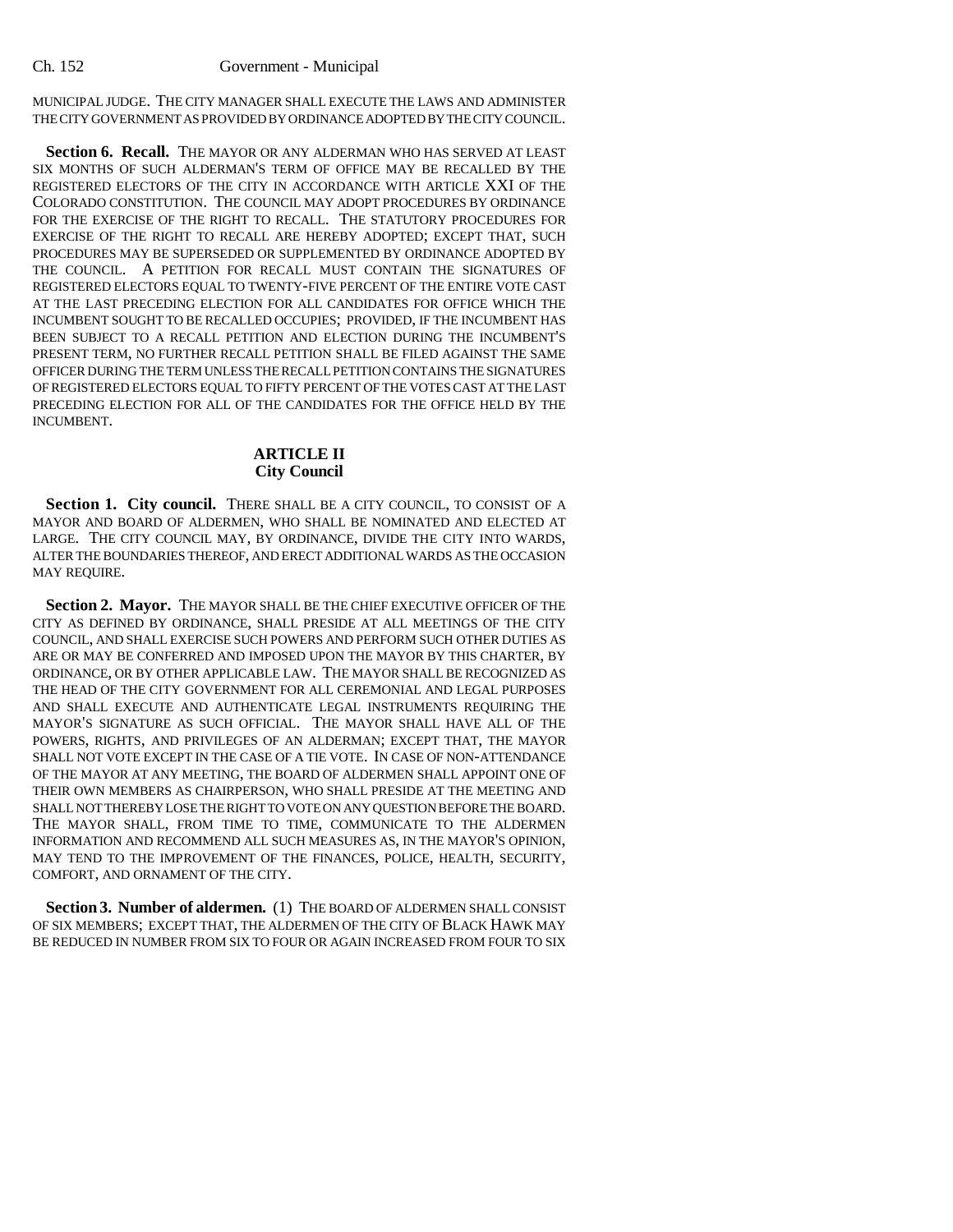MUNICIPAL JUDGE. THE CITY MANAGER SHALL EXECUTE THE LAWS AND ADMINISTER THE CITY GOVERNMENT AS PROVIDED BY ORDINANCE ADOPTED BY THE CITY COUNCIL.

**Section 6. Recall.** THE MAYOR OR ANY ALDERMAN WHO HAS SERVED AT LEAST SIX MONTHS OF SUCH ALDERMAN'S TERM OF OFFICE MAY BE RECALLED BY THE REGISTERED ELECTORS OF THE CITY IN ACCORDANCE WITH ARTICLE XXI OF THE COLORADO CONSTITUTION. THE COUNCIL MAY ADOPT PROCEDURES BY ORDINANCE FOR THE EXERCISE OF THE RIGHT TO RECALL. THE STATUTORY PROCEDURES FOR EXERCISE OF THE RIGHT TO RECALL ARE HEREBY ADOPTED; EXCEPT THAT, SUCH PROCEDURES MAY BE SUPERSEDED OR SUPPLEMENTED BY ORDINANCE ADOPTED BY THE COUNCIL. A PETITION FOR RECALL MUST CONTAIN THE SIGNATURES OF REGISTERED ELECTORS EQUAL TO TWENTY-FIVE PERCENT OF THE ENTIRE VOTE CAST AT THE LAST PRECEDING ELECTION FOR ALL CANDIDATES FOR OFFICE WHICH THE INCUMBENT SOUGHT TO BE RECALLED OCCUPIES; PROVIDED, IF THE INCUMBENT HAS BEEN SUBJECT TO A RECALL PETITION AND ELECTION DURING THE INCUMBENT'S PRESENT TERM, NO FURTHER RECALL PETITION SHALL BE FILED AGAINST THE SAME OFFICER DURING THE TERM UNLESS THE RECALL PETITION CONTAINS THE SIGNATURES OF REGISTERED ELECTORS EQUAL TO FIFTY PERCENT OF THE VOTES CAST AT THE LAST PRECEDING ELECTION FOR ALL OF THE CANDIDATES FOR THE OFFICE HELD BY THE INCUMBENT.

## **ARTICLE II City Council**

Section 1. City council. THERE SHALL BE A CITY COUNCIL, TO CONSIST OF A MAYOR AND BOARD OF ALDERMEN, WHO SHALL BE NOMINATED AND ELECTED AT LARGE. THE CITY COUNCIL MAY, BY ORDINANCE, DIVIDE THE CITY INTO WARDS, ALTER THE BOUNDARIES THEREOF, AND ERECT ADDITIONAL WARDS AS THE OCCASION MAY REQUIRE.

**Section 2. Mayor.** THE MAYOR SHALL BE THE CHIEF EXECUTIVE OFFICER OF THE CITY AS DEFINED BY ORDINANCE, SHALL PRESIDE AT ALL MEETINGS OF THE CITY COUNCIL, AND SHALL EXERCISE SUCH POWERS AND PERFORM SUCH OTHER DUTIES AS ARE OR MAY BE CONFERRED AND IMPOSED UPON THE MAYOR BY THIS CHARTER, BY ORDINANCE, OR BY OTHER APPLICABLE LAW. THE MAYOR SHALL BE RECOGNIZED AS THE HEAD OF THE CITY GOVERNMENT FOR ALL CEREMONIAL AND LEGAL PURPOSES AND SHALL EXECUTE AND AUTHENTICATE LEGAL INSTRUMENTS REQUIRING THE MAYOR'S SIGNATURE AS SUCH OFFICIAL. THE MAYOR SHALL HAVE ALL OF THE POWERS, RIGHTS, AND PRIVILEGES OF AN ALDERMAN; EXCEPT THAT, THE MAYOR SHALL NOT VOTE EXCEPT IN THE CASE OF A TIE VOTE. IN CASE OF NON-ATTENDANCE OF THE MAYOR AT ANY MEETING, THE BOARD OF ALDERMEN SHALL APPOINT ONE OF THEIR OWN MEMBERS AS CHAIRPERSON, WHO SHALL PRESIDE AT THE MEETING AND SHALL NOT THEREBY LOSE THE RIGHT TO VOTE ON ANY QUESTION BEFORE THE BOARD. THE MAYOR SHALL, FROM TIME TO TIME, COMMUNICATE TO THE ALDERMEN INFORMATION AND RECOMMEND ALL SUCH MEASURES AS, IN THE MAYOR'S OPINION, MAY TEND TO THE IMPROVEMENT OF THE FINANCES, POLICE, HEALTH, SECURITY, COMFORT, AND ORNAMENT OF THE CITY.

Section 3. Number of aldermen. (1) THE BOARD OF ALDERMEN SHALL CONSIST OF SIX MEMBERS; EXCEPT THAT, THE ALDERMEN OF THE CITY OF BLACK HAWK MAY BE REDUCED IN NUMBER FROM SIX TO FOUR OR AGAIN INCREASED FROM FOUR TO SIX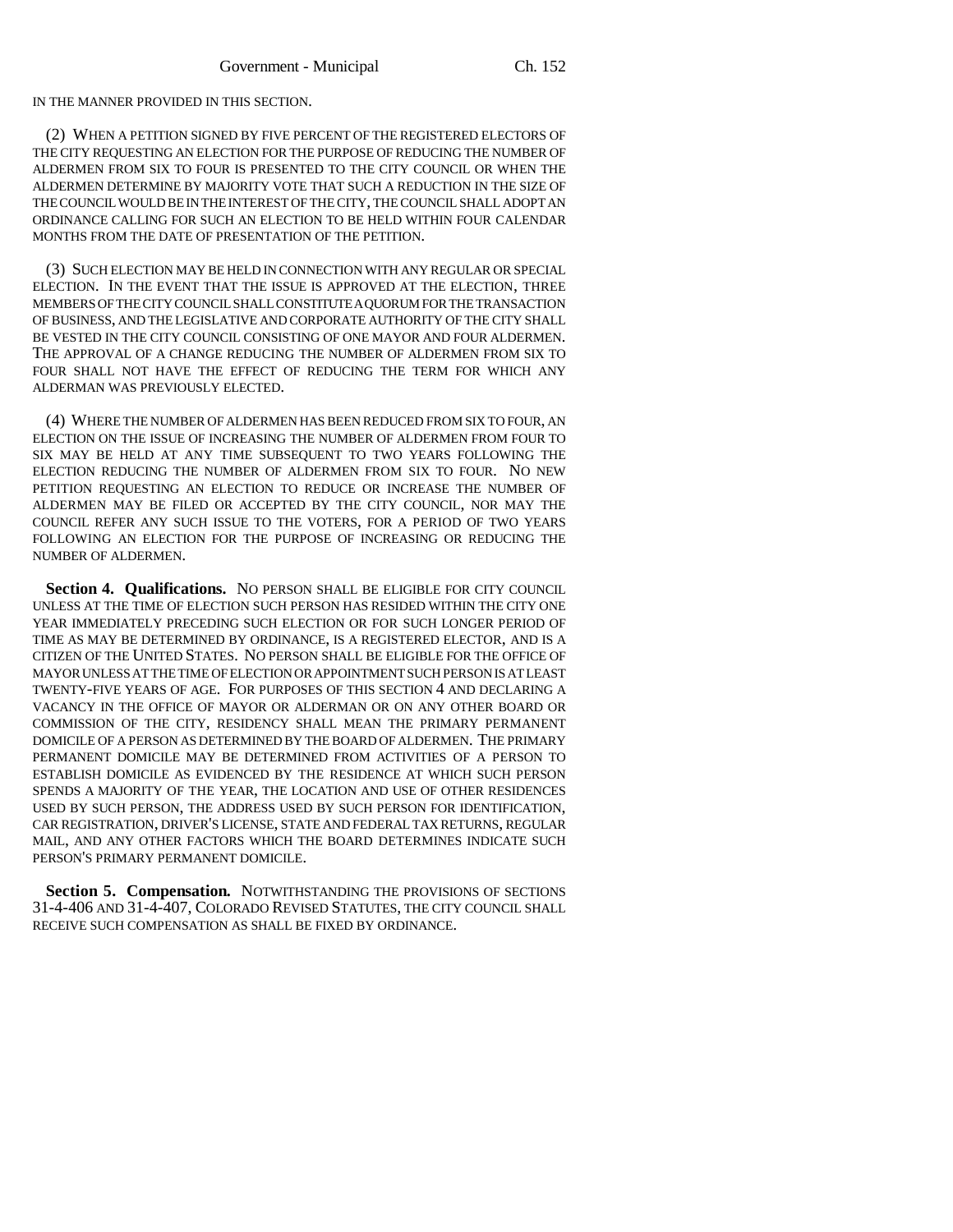IN THE MANNER PROVIDED IN THIS SECTION.

(2) WHEN A PETITION SIGNED BY FIVE PERCENT OF THE REGISTERED ELECTORS OF THE CITY REQUESTING AN ELECTION FOR THE PURPOSE OF REDUCING THE NUMBER OF ALDERMEN FROM SIX TO FOUR IS PRESENTED TO THE CITY COUNCIL OR WHEN THE ALDERMEN DETERMINE BY MAJORITY VOTE THAT SUCH A REDUCTION IN THE SIZE OF THE COUNCIL WOULD BE IN THE INTEREST OF THE CITY, THE COUNCIL SHALL ADOPT AN ORDINANCE CALLING FOR SUCH AN ELECTION TO BE HELD WITHIN FOUR CALENDAR MONTHS FROM THE DATE OF PRESENTATION OF THE PETITION.

(3) SUCH ELECTION MAY BE HELD IN CONNECTION WITH ANY REGULAR OR SPECIAL ELECTION. IN THE EVENT THAT THE ISSUE IS APPROVED AT THE ELECTION, THREE MEMBERS OF THE CITY COUNCIL SHALL CONSTITUTE A QUORUM FOR THE TRANSACTION OF BUSINESS, AND THE LEGISLATIVE AND CORPORATE AUTHORITY OF THE CITY SHALL BE VESTED IN THE CITY COUNCIL CONSISTING OF ONE MAYOR AND FOUR ALDERMEN. THE APPROVAL OF A CHANGE REDUCING THE NUMBER OF ALDERMEN FROM SIX TO FOUR SHALL NOT HAVE THE EFFECT OF REDUCING THE TERM FOR WHICH ANY ALDERMAN WAS PREVIOUSLY ELECTED.

(4) WHERE THE NUMBER OF ALDERMEN HAS BEEN REDUCED FROM SIX TO FOUR, AN ELECTION ON THE ISSUE OF INCREASING THE NUMBER OF ALDERMEN FROM FOUR TO SIX MAY BE HELD AT ANY TIME SUBSEQUENT TO TWO YEARS FOLLOWING THE ELECTION REDUCING THE NUMBER OF ALDERMEN FROM SIX TO FOUR. NO NEW PETITION REQUESTING AN ELECTION TO REDUCE OR INCREASE THE NUMBER OF ALDERMEN MAY BE FILED OR ACCEPTED BY THE CITY COUNCIL, NOR MAY THE COUNCIL REFER ANY SUCH ISSUE TO THE VOTERS, FOR A PERIOD OF TWO YEARS FOLLOWING AN ELECTION FOR THE PURPOSE OF INCREASING OR REDUCING THE NUMBER OF ALDERMEN.

Section 4. Qualifications. NO PERSON SHALL BE ELIGIBLE FOR CITY COUNCIL UNLESS AT THE TIME OF ELECTION SUCH PERSON HAS RESIDED WITHIN THE CITY ONE YEAR IMMEDIATELY PRECEDING SUCH ELECTION OR FOR SUCH LONGER PERIOD OF TIME AS MAY BE DETERMINED BY ORDINANCE, IS A REGISTERED ELECTOR, AND IS A CITIZEN OF THE UNITED STATES. NO PERSON SHALL BE ELIGIBLE FOR THE OFFICE OF MAYOR UNLESS AT THE TIME OF ELECTION OR APPOINTMENT SUCH PERSON IS AT LEAST TWENTY-FIVE YEARS OF AGE. FOR PURPOSES OF THIS SECTION 4 AND DECLARING A VACANCY IN THE OFFICE OF MAYOR OR ALDERMAN OR ON ANY OTHER BOARD OR COMMISSION OF THE CITY, RESIDENCY SHALL MEAN THE PRIMARY PERMANENT DOMICILE OF A PERSON AS DETERMINED BY THE BOARD OF ALDERMEN. THE PRIMARY PERMANENT DOMICILE MAY BE DETERMINED FROM ACTIVITIES OF A PERSON TO ESTABLISH DOMICILE AS EVIDENCED BY THE RESIDENCE AT WHICH SUCH PERSON SPENDS A MAJORITY OF THE YEAR, THE LOCATION AND USE OF OTHER RESIDENCES USED BY SUCH PERSON, THE ADDRESS USED BY SUCH PERSON FOR IDENTIFICATION, CAR REGISTRATION, DRIVER'S LICENSE, STATE AND FEDERAL TAX RETURNS, REGULAR MAIL, AND ANY OTHER FACTORS WHICH THE BOARD DETERMINES INDICATE SUCH PERSON'S PRIMARY PERMANENT DOMICILE.

**Section 5. Compensation.** NOTWITHSTANDING THE PROVISIONS OF SECTIONS 31-4-406 AND 31-4-407, COLORADO REVISED STATUTES, THE CITY COUNCIL SHALL RECEIVE SUCH COMPENSATION AS SHALL BE FIXED BY ORDINANCE.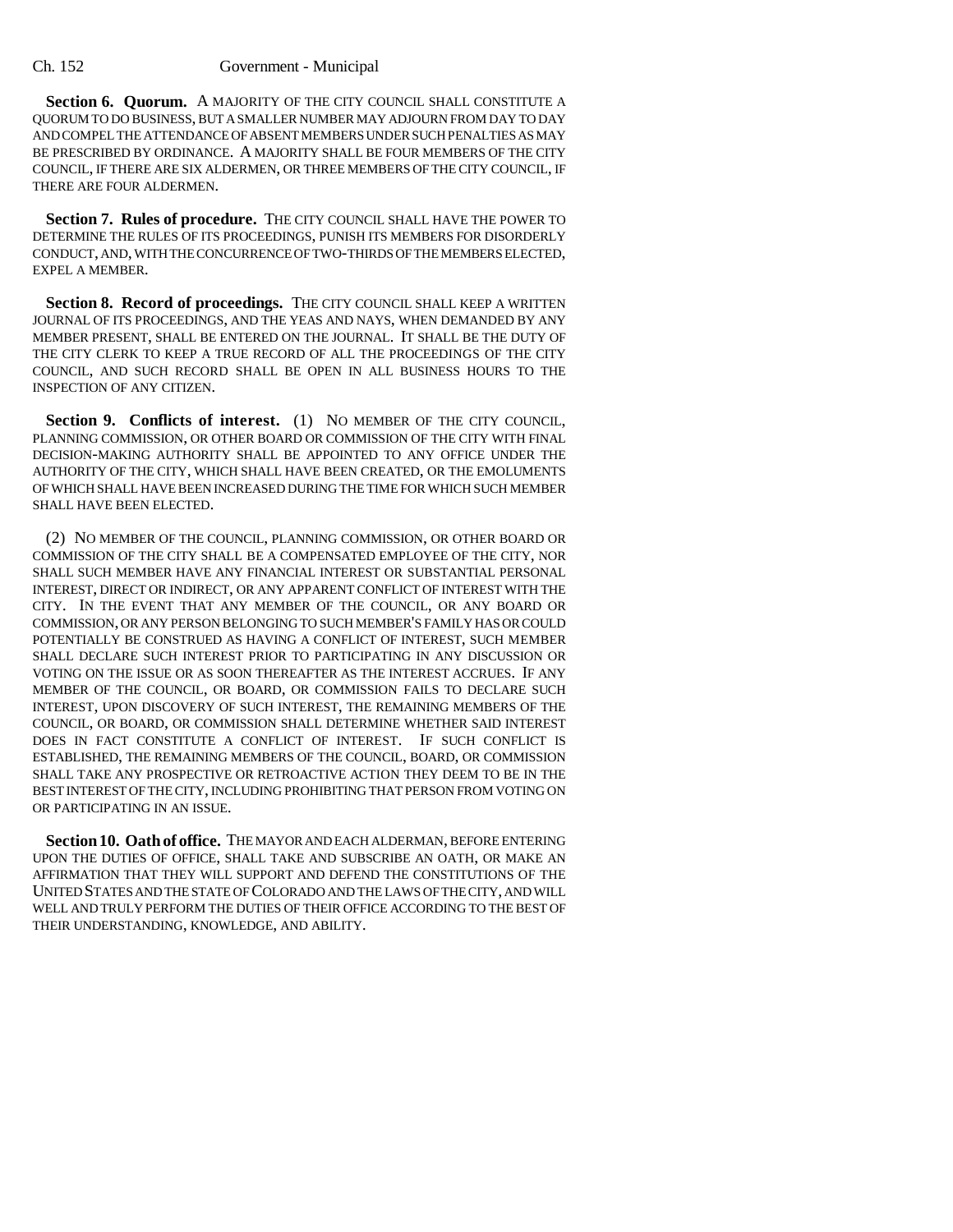Section 6. Quorum. A MAJORITY OF THE CITY COUNCIL SHALL CONSTITUTE A QUORUM TO DO BUSINESS, BUT A SMALLER NUMBER MAY ADJOURN FROM DAY TO DAY AND COMPEL THE ATTENDANCE OF ABSENT MEMBERS UNDER SUCH PENALTIES AS MAY BE PRESCRIBED BY ORDINANCE. A MAJORITY SHALL BE FOUR MEMBERS OF THE CITY COUNCIL, IF THERE ARE SIX ALDERMEN, OR THREE MEMBERS OF THE CITY COUNCIL, IF THERE ARE FOUR ALDERMEN.

Section 7. Rules of procedure. THE CITY COUNCIL SHALL HAVE THE POWER TO DETERMINE THE RULES OF ITS PROCEEDINGS, PUNISH ITS MEMBERS FOR DISORDERLY CONDUCT, AND, WITH THE CONCURRENCE OF TWO-THIRDS OF THE MEMBERS ELECTED, EXPEL A MEMBER.

Section 8. Record of proceedings. THE CITY COUNCIL SHALL KEEP A WRITTEN JOURNAL OF ITS PROCEEDINGS, AND THE YEAS AND NAYS, WHEN DEMANDED BY ANY MEMBER PRESENT, SHALL BE ENTERED ON THE JOURNAL. IT SHALL BE THE DUTY OF THE CITY CLERK TO KEEP A TRUE RECORD OF ALL THE PROCEEDINGS OF THE CITY COUNCIL, AND SUCH RECORD SHALL BE OPEN IN ALL BUSINESS HOURS TO THE INSPECTION OF ANY CITIZEN.

Section 9. Conflicts of interest. (1) NO MEMBER OF THE CITY COUNCIL, PLANNING COMMISSION, OR OTHER BOARD OR COMMISSION OF THE CITY WITH FINAL DECISION-MAKING AUTHORITY SHALL BE APPOINTED TO ANY OFFICE UNDER THE AUTHORITY OF THE CITY, WHICH SHALL HAVE BEEN CREATED, OR THE EMOLUMENTS OF WHICH SHALL HAVE BEEN INCREASED DURING THE TIME FOR WHICH SUCH MEMBER SHALL HAVE BEEN ELECTED.

(2) NO MEMBER OF THE COUNCIL, PLANNING COMMISSION, OR OTHER BOARD OR COMMISSION OF THE CITY SHALL BE A COMPENSATED EMPLOYEE OF THE CITY, NOR SHALL SUCH MEMBER HAVE ANY FINANCIAL INTEREST OR SUBSTANTIAL PERSONAL INTEREST, DIRECT OR INDIRECT, OR ANY APPARENT CONFLICT OF INTEREST WITH THE CITY. IN THE EVENT THAT ANY MEMBER OF THE COUNCIL, OR ANY BOARD OR COMMISSION, OR ANY PERSON BELONGING TO SUCH MEMBER'S FAMILY HAS OR COULD POTENTIALLY BE CONSTRUED AS HAVING A CONFLICT OF INTEREST, SUCH MEMBER SHALL DECLARE SUCH INTEREST PRIOR TO PARTICIPATING IN ANY DISCUSSION OR VOTING ON THE ISSUE OR AS SOON THEREAFTER AS THE INTEREST ACCRUES. IF ANY MEMBER OF THE COUNCIL, OR BOARD, OR COMMISSION FAILS TO DECLARE SUCH INTEREST, UPON DISCOVERY OF SUCH INTEREST, THE REMAINING MEMBERS OF THE COUNCIL, OR BOARD, OR COMMISSION SHALL DETERMINE WHETHER SAID INTEREST DOES IN FACT CONSTITUTE A CONFLICT OF INTEREST. IF SUCH CONFLICT IS ESTABLISHED, THE REMAINING MEMBERS OF THE COUNCIL, BOARD, OR COMMISSION SHALL TAKE ANY PROSPECTIVE OR RETROACTIVE ACTION THEY DEEM TO BE IN THE BEST INTEREST OF THE CITY, INCLUDING PROHIBITING THAT PERSON FROM VOTING ON OR PARTICIPATING IN AN ISSUE.

**Section 10. Oath of office.** THE MAYOR AND EACH ALDERMAN, BEFORE ENTERING UPON THE DUTIES OF OFFICE, SHALL TAKE AND SUBSCRIBE AN OATH, OR MAKE AN AFFIRMATION THAT THEY WILL SUPPORT AND DEFEND THE CONSTITUTIONS OF THE UNITED STATES AND THE STATE OF COLORADO AND THE LAWS OF THE CITY, AND WILL WELL AND TRULY PERFORM THE DUTIES OF THEIR OFFICE ACCORDING TO THE BEST OF THEIR UNDERSTANDING, KNOWLEDGE, AND ABILITY.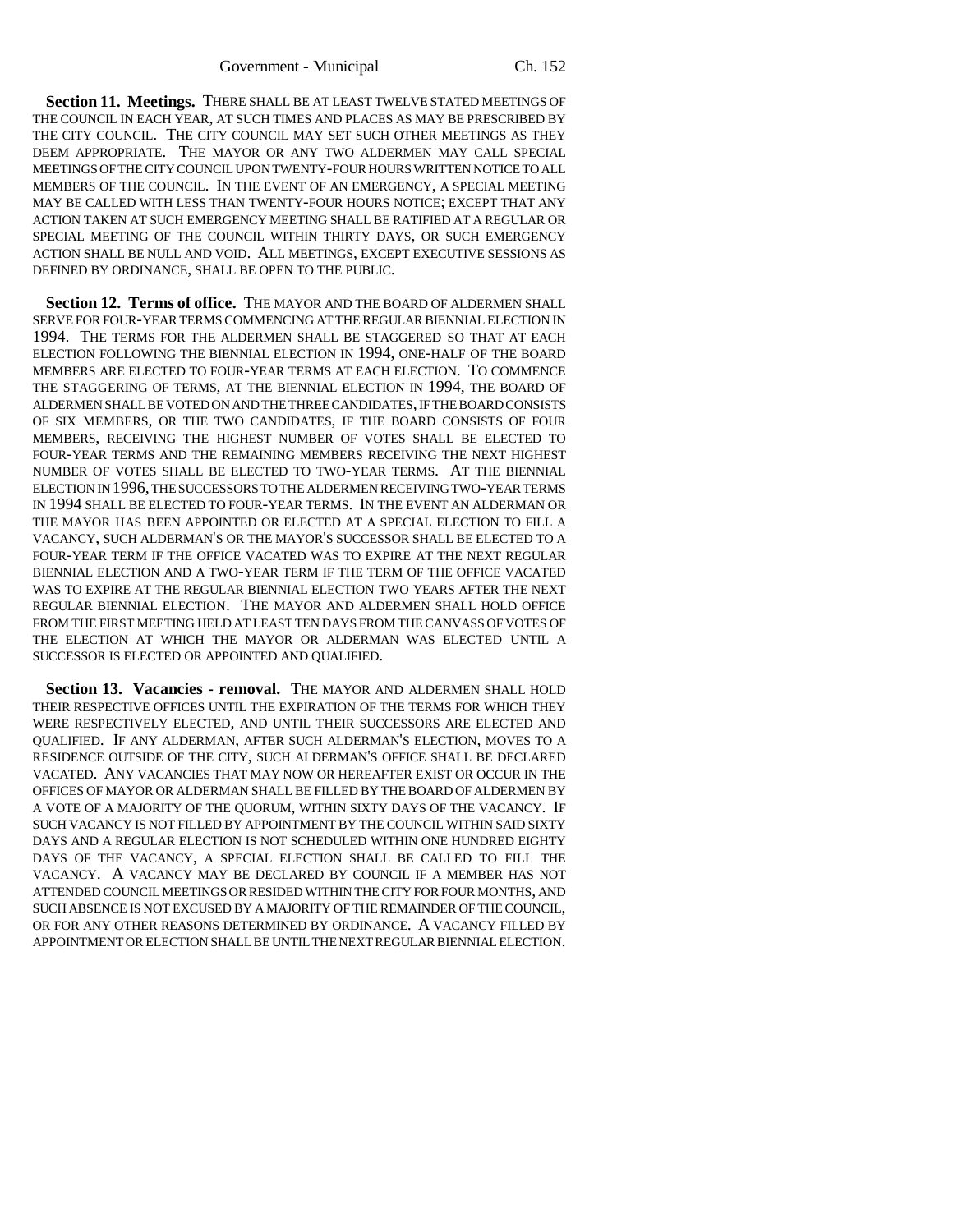**Section 11. Meetings.** THERE SHALL BE AT LEAST TWELVE STATED MEETINGS OF THE COUNCIL IN EACH YEAR, AT SUCH TIMES AND PLACES AS MAY BE PRESCRIBED BY THE CITY COUNCIL. THE CITY COUNCIL MAY SET SUCH OTHER MEETINGS AS THEY DEEM APPROPRIATE. THE MAYOR OR ANY TWO ALDERMEN MAY CALL SPECIAL MEETINGS OF THE CITY COUNCIL UPON TWENTY-FOUR HOURS WRITTEN NOTICE TO ALL MEMBERS OF THE COUNCIL. IN THE EVENT OF AN EMERGENCY, A SPECIAL MEETING MAY BE CALLED WITH LESS THAN TWENTY-FOUR HOURS NOTICE; EXCEPT THAT ANY ACTION TAKEN AT SUCH EMERGENCY MEETING SHALL BE RATIFIED AT A REGULAR OR SPECIAL MEETING OF THE COUNCIL WITHIN THIRTY DAYS, OR SUCH EMERGENCY ACTION SHALL BE NULL AND VOID. ALL MEETINGS, EXCEPT EXECUTIVE SESSIONS AS DEFINED BY ORDINANCE, SHALL BE OPEN TO THE PUBLIC.

**Section 12. Terms of office.** THE MAYOR AND THE BOARD OF ALDERMEN SHALL SERVE FOR FOUR-YEAR TERMS COMMENCING AT THE REGULAR BIENNIAL ELECTION IN 1994. THE TERMS FOR THE ALDERMEN SHALL BE STAGGERED SO THAT AT EACH ELECTION FOLLOWING THE BIENNIAL ELECTION IN 1994, ONE-HALF OF THE BOARD MEMBERS ARE ELECTED TO FOUR-YEAR TERMS AT EACH ELECTION. TO COMMENCE THE STAGGERING OF TERMS, AT THE BIENNIAL ELECTION IN 1994, THE BOARD OF ALDERMEN SHALL BE VOTED ON AND THE THREE CANDIDATES, IF THE BOARD CONSISTS OF SIX MEMBERS, OR THE TWO CANDIDATES, IF THE BOARD CONSISTS OF FOUR MEMBERS, RECEIVING THE HIGHEST NUMBER OF VOTES SHALL BE ELECTED TO FOUR-YEAR TERMS AND THE REMAINING MEMBERS RECEIVING THE NEXT HIGHEST NUMBER OF VOTES SHALL BE ELECTED TO TWO-YEAR TERMS. AT THE BIENNIAL ELECTION IN 1996, THE SUCCESSORS TO THE ALDERMEN RECEIVING TWO-YEAR TERMS IN 1994 SHALL BE ELECTED TO FOUR-YEAR TERMS. IN THE EVENT AN ALDERMAN OR THE MAYOR HAS BEEN APPOINTED OR ELECTED AT A SPECIAL ELECTION TO FILL A VACANCY, SUCH ALDERMAN'S OR THE MAYOR'S SUCCESSOR SHALL BE ELECTED TO A FOUR-YEAR TERM IF THE OFFICE VACATED WAS TO EXPIRE AT THE NEXT REGULAR BIENNIAL ELECTION AND A TWO-YEAR TERM IF THE TERM OF THE OFFICE VACATED WAS TO EXPIRE AT THE REGULAR BIENNIAL ELECTION TWO YEARS AFTER THE NEXT REGULAR BIENNIAL ELECTION. THE MAYOR AND ALDERMEN SHALL HOLD OFFICE FROM THE FIRST MEETING HELD AT LEAST TEN DAYS FROM THE CANVASS OF VOTES OF THE ELECTION AT WHICH THE MAYOR OR ALDERMAN WAS ELECTED UNTIL A SUCCESSOR IS ELECTED OR APPOINTED AND QUALIFIED.

**Section 13. Vacancies - removal.** THE MAYOR AND ALDERMEN SHALL HOLD THEIR RESPECTIVE OFFICES UNTIL THE EXPIRATION OF THE TERMS FOR WHICH THEY WERE RESPECTIVELY ELECTED, AND UNTIL THEIR SUCCESSORS ARE ELECTED AND QUALIFIED. IF ANY ALDERMAN, AFTER SUCH ALDERMAN'S ELECTION, MOVES TO A RESIDENCE OUTSIDE OF THE CITY, SUCH ALDERMAN'S OFFICE SHALL BE DECLARED VACATED. ANY VACANCIES THAT MAY NOW OR HEREAFTER EXIST OR OCCUR IN THE OFFICES OF MAYOR OR ALDERMAN SHALL BE FILLED BY THE BOARD OF ALDERMEN BY A VOTE OF A MAJORITY OF THE QUORUM, WITHIN SIXTY DAYS OF THE VACANCY. IF SUCH VACANCY IS NOT FILLED BY APPOINTMENT BY THE COUNCIL WITHIN SAID SIXTY DAYS AND A REGULAR ELECTION IS NOT SCHEDULED WITHIN ONE HUNDRED EIGHTY DAYS OF THE VACANCY, A SPECIAL ELECTION SHALL BE CALLED TO FILL THE VACANCY. A VACANCY MAY BE DECLARED BY COUNCIL IF A MEMBER HAS NOT ATTENDED COUNCIL MEETINGS OR RESIDED WITHIN THE CITY FOR FOUR MONTHS, AND SUCH ABSENCE IS NOT EXCUSED BY A MAJORITY OF THE REMAINDER OF THE COUNCIL, OR FOR ANY OTHER REASONS DETERMINED BY ORDINANCE. A VACANCY FILLED BY APPOINTMENT OR ELECTION SHALL BE UNTIL THE NEXT REGULAR BIENNIAL ELECTION.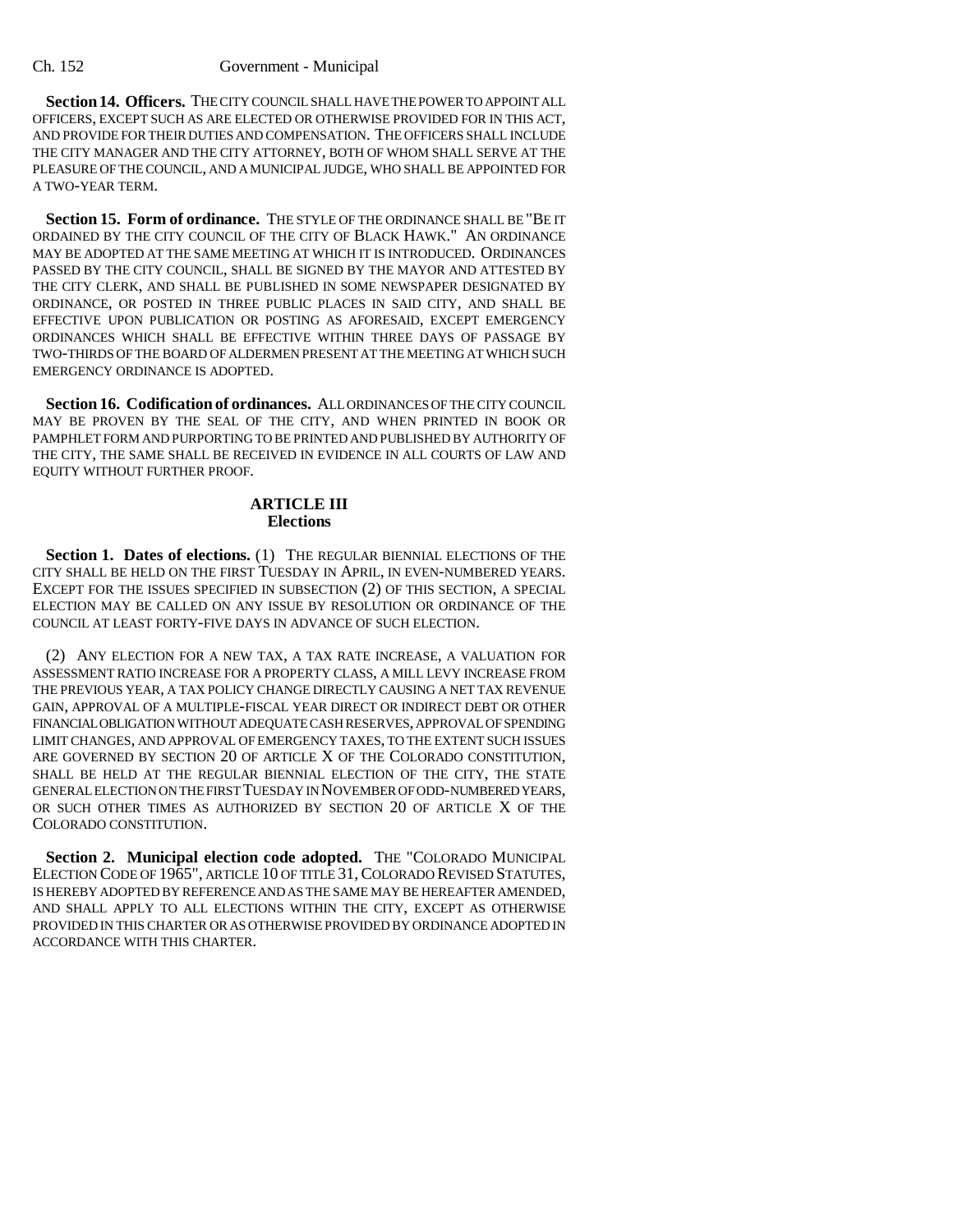**Section 14. Officers.** THE CITY COUNCIL SHALL HAVE THE POWER TO APPOINT ALL OFFICERS, EXCEPT SUCH AS ARE ELECTED OR OTHERWISE PROVIDED FOR IN THIS ACT, AND PROVIDE FOR THEIR DUTIES AND COMPENSATION. THE OFFICERS SHALL INCLUDE THE CITY MANAGER AND THE CITY ATTORNEY, BOTH OF WHOM SHALL SERVE AT THE PLEASURE OF THE COUNCIL, AND A MUNICIPAL JUDGE, WHO SHALL BE APPOINTED FOR A TWO-YEAR TERM.

**Section 15. Form of ordinance.** THE STYLE OF THE ORDINANCE SHALL BE "BE IT ORDAINED BY THE CITY COUNCIL OF THE CITY OF BLACK HAWK." AN ORDINANCE MAY BE ADOPTED AT THE SAME MEETING AT WHICH IT IS INTRODUCED. ORDINANCES PASSED BY THE CITY COUNCIL, SHALL BE SIGNED BY THE MAYOR AND ATTESTED BY THE CITY CLERK, AND SHALL BE PUBLISHED IN SOME NEWSPAPER DESIGNATED BY ORDINANCE, OR POSTED IN THREE PUBLIC PLACES IN SAID CITY, AND SHALL BE EFFECTIVE UPON PUBLICATION OR POSTING AS AFORESAID, EXCEPT EMERGENCY ORDINANCES WHICH SHALL BE EFFECTIVE WITHIN THREE DAYS OF PASSAGE BY TWO-THIRDS OF THE BOARD OF ALDERMEN PRESENT AT THE MEETING AT WHICH SUCH EMERGENCY ORDINANCE IS ADOPTED.

**Section 16. Codification of ordinances.** ALL ORDINANCES OF THE CITY COUNCIL MAY BE PROVEN BY THE SEAL OF THE CITY, AND WHEN PRINTED IN BOOK OR PAMPHLET FORM AND PURPORTING TO BE PRINTED AND PUBLISHED BY AUTHORITY OF THE CITY, THE SAME SHALL BE RECEIVED IN EVIDENCE IN ALL COURTS OF LAW AND EQUITY WITHOUT FURTHER PROOF.

## **ARTICLE III Elections**

Section 1. Dates of elections. (1) THE REGULAR BIENNIAL ELECTIONS OF THE CITY SHALL BE HELD ON THE FIRST TUESDAY IN APRIL, IN EVEN-NUMBERED YEARS. EXCEPT FOR THE ISSUES SPECIFIED IN SUBSECTION (2) OF THIS SECTION, A SPECIAL ELECTION MAY BE CALLED ON ANY ISSUE BY RESOLUTION OR ORDINANCE OF THE COUNCIL AT LEAST FORTY-FIVE DAYS IN ADVANCE OF SUCH ELECTION.

(2) ANY ELECTION FOR A NEW TAX, A TAX RATE INCREASE, A VALUATION FOR ASSESSMENT RATIO INCREASE FOR A PROPERTY CLASS, A MILL LEVY INCREASE FROM THE PREVIOUS YEAR, A TAX POLICY CHANGE DIRECTLY CAUSING A NET TAX REVENUE GAIN, APPROVAL OF A MULTIPLE-FISCAL YEAR DIRECT OR INDIRECT DEBT OR OTHER FINANCIAL OBLIGATION WITHOUT ADEQUATE CASH RESERVES, APPROVAL OF SPENDING LIMIT CHANGES, AND APPROVAL OF EMERGENCY TAXES, TO THE EXTENT SUCH ISSUES ARE GOVERNED BY SECTION 20 OF ARTICLE X OF THE COLORADO CONSTITUTION, SHALL BE HELD AT THE REGULAR BIENNIAL ELECTION OF THE CITY, THE STATE GENERAL ELECTION ON THE FIRST TUESDAY IN NOVEMBER OF ODD-NUMBERED YEARS, OR SUCH OTHER TIMES AS AUTHORIZED BY SECTION 20 OF ARTICLE X OF THE COLORADO CONSTITUTION.

**Section 2. Municipal election code adopted.** THE "COLORADO MUNICIPAL ELECTION CODE OF 1965", ARTICLE 10 OF TITLE 31,COLORADO REVISED STATUTES, IS HEREBY ADOPTED BY REFERENCE AND AS THE SAME MAY BE HEREAFTER AMENDED, AND SHALL APPLY TO ALL ELECTIONS WITHIN THE CITY, EXCEPT AS OTHERWISE PROVIDED IN THIS CHARTER OR AS OTHERWISE PROVIDED BY ORDINANCE ADOPTED IN ACCORDANCE WITH THIS CHARTER.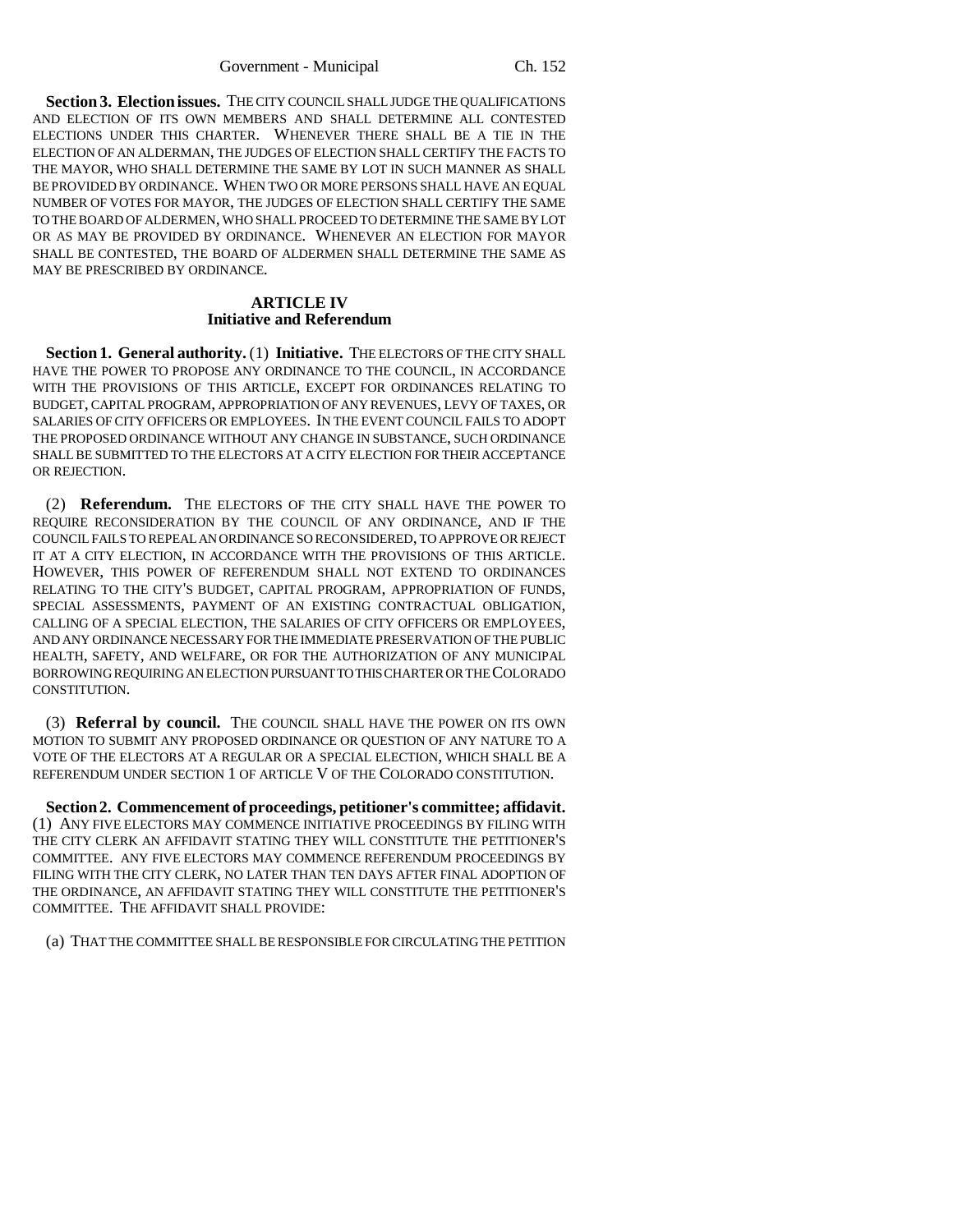**Section 3. Election issues.** THE CITY COUNCIL SHALL JUDGE THE QUALIFICATIONS AND ELECTION OF ITS OWN MEMBERS AND SHALL DETERMINE ALL CONTESTED ELECTIONS UNDER THIS CHARTER. WHENEVER THERE SHALL BE A TIE IN THE ELECTION OF AN ALDERMAN, THE JUDGES OF ELECTION SHALL CERTIFY THE FACTS TO THE MAYOR, WHO SHALL DETERMINE THE SAME BY LOT IN SUCH MANNER AS SHALL BE PROVIDED BY ORDINANCE. WHEN TWO OR MORE PERSONS SHALL HAVE AN EQUAL NUMBER OF VOTES FOR MAYOR, THE JUDGES OF ELECTION SHALL CERTIFY THE SAME TO THE BOARD OF ALDERMEN, WHO SHALL PROCEED TO DETERMINE THE SAME BY LOT OR AS MAY BE PROVIDED BY ORDINANCE. WHENEVER AN ELECTION FOR MAYOR SHALL BE CONTESTED, THE BOARD OF ALDERMEN SHALL DETERMINE THE SAME AS MAY BE PRESCRIBED BY ORDINANCE.

### **ARTICLE IV Initiative and Referendum**

**Section 1. General authority.** (1) **Initiative.** THE ELECTORS OF THE CITY SHALL HAVE THE POWER TO PROPOSE ANY ORDINANCE TO THE COUNCIL, IN ACCORDANCE WITH THE PROVISIONS OF THIS ARTICLE, EXCEPT FOR ORDINANCES RELATING TO BUDGET, CAPITAL PROGRAM, APPROPRIATION OF ANY REVENUES, LEVY OF TAXES, OR SALARIES OF CITY OFFICERS OR EMPLOYEES. IN THE EVENT COUNCIL FAILS TO ADOPT THE PROPOSED ORDINANCE WITHOUT ANY CHANGE IN SUBSTANCE, SUCH ORDINANCE SHALL BE SUBMITTED TO THE ELECTORS AT A CITY ELECTION FOR THEIR ACCEPTANCE OR REJECTION.

(2) **Referendum.** THE ELECTORS OF THE CITY SHALL HAVE THE POWER TO REQUIRE RECONSIDERATION BY THE COUNCIL OF ANY ORDINANCE, AND IF THE COUNCIL FAILS TO REPEAL AN ORDINANCE SO RECONSIDERED, TO APPROVE OR REJECT IT AT A CITY ELECTION, IN ACCORDANCE WITH THE PROVISIONS OF THIS ARTICLE. HOWEVER, THIS POWER OF REFERENDUM SHALL NOT EXTEND TO ORDINANCES RELATING TO THE CITY'S BUDGET, CAPITAL PROGRAM, APPROPRIATION OF FUNDS, SPECIAL ASSESSMENTS, PAYMENT OF AN EXISTING CONTRACTUAL OBLIGATION, CALLING OF A SPECIAL ELECTION, THE SALARIES OF CITY OFFICERS OR EMPLOYEES, AND ANY ORDINANCE NECESSARY FOR THE IMMEDIATE PRESERVATION OF THE PUBLIC HEALTH, SAFETY, AND WELFARE, OR FOR THE AUTHORIZATION OF ANY MUNICIPAL BORROWING REQUIRING AN ELECTION PURSUANT TO THIS CHARTER OR THE COLORADO CONSTITUTION.

(3) **Referral by council.** THE COUNCIL SHALL HAVE THE POWER ON ITS OWN MOTION TO SUBMIT ANY PROPOSED ORDINANCE OR QUESTION OF ANY NATURE TO A VOTE OF THE ELECTORS AT A REGULAR OR A SPECIAL ELECTION, WHICH SHALL BE A REFERENDUM UNDER SECTION 1 OF ARTICLE V OF THE COLORADO CONSTITUTION.

**Section 2. Commencement of proceedings, petitioner's committee; affidavit.** (1) ANY FIVE ELECTORS MAY COMMENCE INITIATIVE PROCEEDINGS BY FILING WITH THE CITY CLERK AN AFFIDAVIT STATING THEY WILL CONSTITUTE THE PETITIONER'S COMMITTEE. ANY FIVE ELECTORS MAY COMMENCE REFERENDUM PROCEEDINGS BY FILING WITH THE CITY CLERK, NO LATER THAN TEN DAYS AFTER FINAL ADOPTION OF THE ORDINANCE, AN AFFIDAVIT STATING THEY WILL CONSTITUTE THE PETITIONER'S COMMITTEE. THE AFFIDAVIT SHALL PROVIDE:

(a) THAT THE COMMITTEE SHALL BE RESPONSIBLE FOR CIRCULATING THE PETITION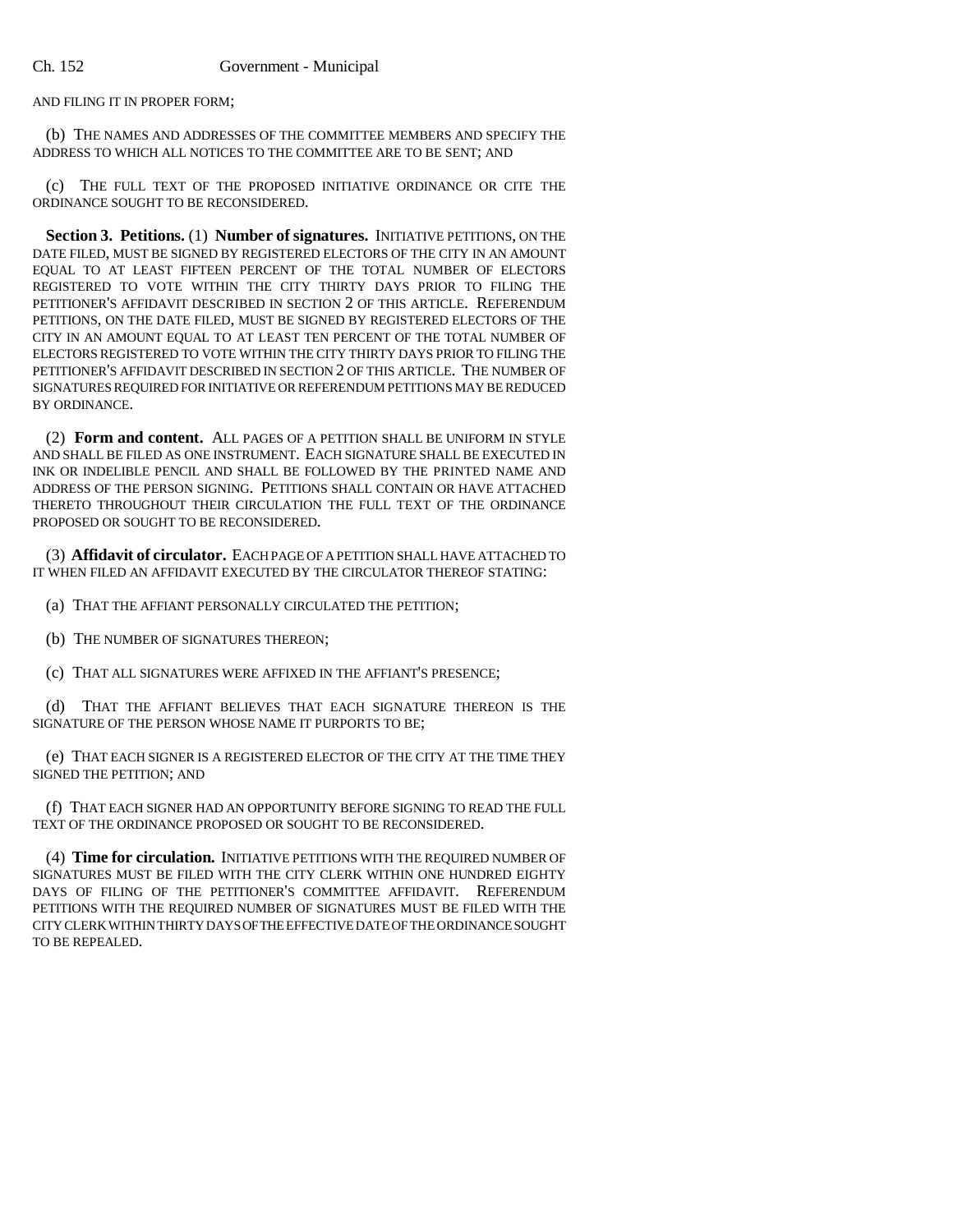AND FILING IT IN PROPER FORM;

(b) THE NAMES AND ADDRESSES OF THE COMMITTEE MEMBERS AND SPECIFY THE ADDRESS TO WHICH ALL NOTICES TO THE COMMITTEE ARE TO BE SENT; AND

(c) THE FULL TEXT OF THE PROPOSED INITIATIVE ORDINANCE OR CITE THE ORDINANCE SOUGHT TO BE RECONSIDERED.

**Section 3. Petitions.** (1) **Number of signatures.** INITIATIVE PETITIONS, ON THE DATE FILED, MUST BE SIGNED BY REGISTERED ELECTORS OF THE CITY IN AN AMOUNT EQUAL TO AT LEAST FIFTEEN PERCENT OF THE TOTAL NUMBER OF ELECTORS REGISTERED TO VOTE WITHIN THE CITY THIRTY DAYS PRIOR TO FILING THE PETITIONER'S AFFIDAVIT DESCRIBED IN SECTION 2 OF THIS ARTICLE. REFERENDUM PETITIONS, ON THE DATE FILED, MUST BE SIGNED BY REGISTERED ELECTORS OF THE CITY IN AN AMOUNT EQUAL TO AT LEAST TEN PERCENT OF THE TOTAL NUMBER OF ELECTORS REGISTERED TO VOTE WITHIN THE CITY THIRTY DAYS PRIOR TO FILING THE PETITIONER'S AFFIDAVIT DESCRIBED IN SECTION 2 OF THIS ARTICLE. THE NUMBER OF SIGNATURES REQUIRED FOR INITIATIVE OR REFERENDUM PETITIONS MAY BE REDUCED BY ORDINANCE.

(2) **Form and content.** ALL PAGES OF A PETITION SHALL BE UNIFORM IN STYLE AND SHALL BE FILED AS ONE INSTRUMENT. EACH SIGNATURE SHALL BE EXECUTED IN INK OR INDELIBLE PENCIL AND SHALL BE FOLLOWED BY THE PRINTED NAME AND ADDRESS OF THE PERSON SIGNING. PETITIONS SHALL CONTAIN OR HAVE ATTACHED THERETO THROUGHOUT THEIR CIRCULATION THE FULL TEXT OF THE ORDINANCE PROPOSED OR SOUGHT TO BE RECONSIDERED.

(3) **Affidavit of circulator.** EACH PAGE OF A PETITION SHALL HAVE ATTACHED TO IT WHEN FILED AN AFFIDAVIT EXECUTED BY THE CIRCULATOR THEREOF STATING:

(a) THAT THE AFFIANT PERSONALLY CIRCULATED THE PETITION;

(b) THE NUMBER OF SIGNATURES THEREON;

(c) THAT ALL SIGNATURES WERE AFFIXED IN THE AFFIANT'S PRESENCE;

(d) THAT THE AFFIANT BELIEVES THAT EACH SIGNATURE THEREON IS THE SIGNATURE OF THE PERSON WHOSE NAME IT PURPORTS TO BE;

(e) THAT EACH SIGNER IS A REGISTERED ELECTOR OF THE CITY AT THE TIME THEY SIGNED THE PETITION; AND

(f) THAT EACH SIGNER HAD AN OPPORTUNITY BEFORE SIGNING TO READ THE FULL TEXT OF THE ORDINANCE PROPOSED OR SOUGHT TO BE RECONSIDERED.

(4) **Time for circulation.** INITIATIVE PETITIONS WITH THE REQUIRED NUMBER OF SIGNATURES MUST BE FILED WITH THE CITY CLERK WITHIN ONE HUNDRED EIGHTY DAYS OF FILING OF THE PETITIONER'S COMMITTEE AFFIDAVIT. REFERENDUM PETITIONS WITH THE REQUIRED NUMBER OF SIGNATURES MUST BE FILED WITH THE CITY CLERK WITHIN THIRTY DAYS OF THE EFFECTIVE DATE OF THE ORDINANCE SOUGHT TO BE REPEALED.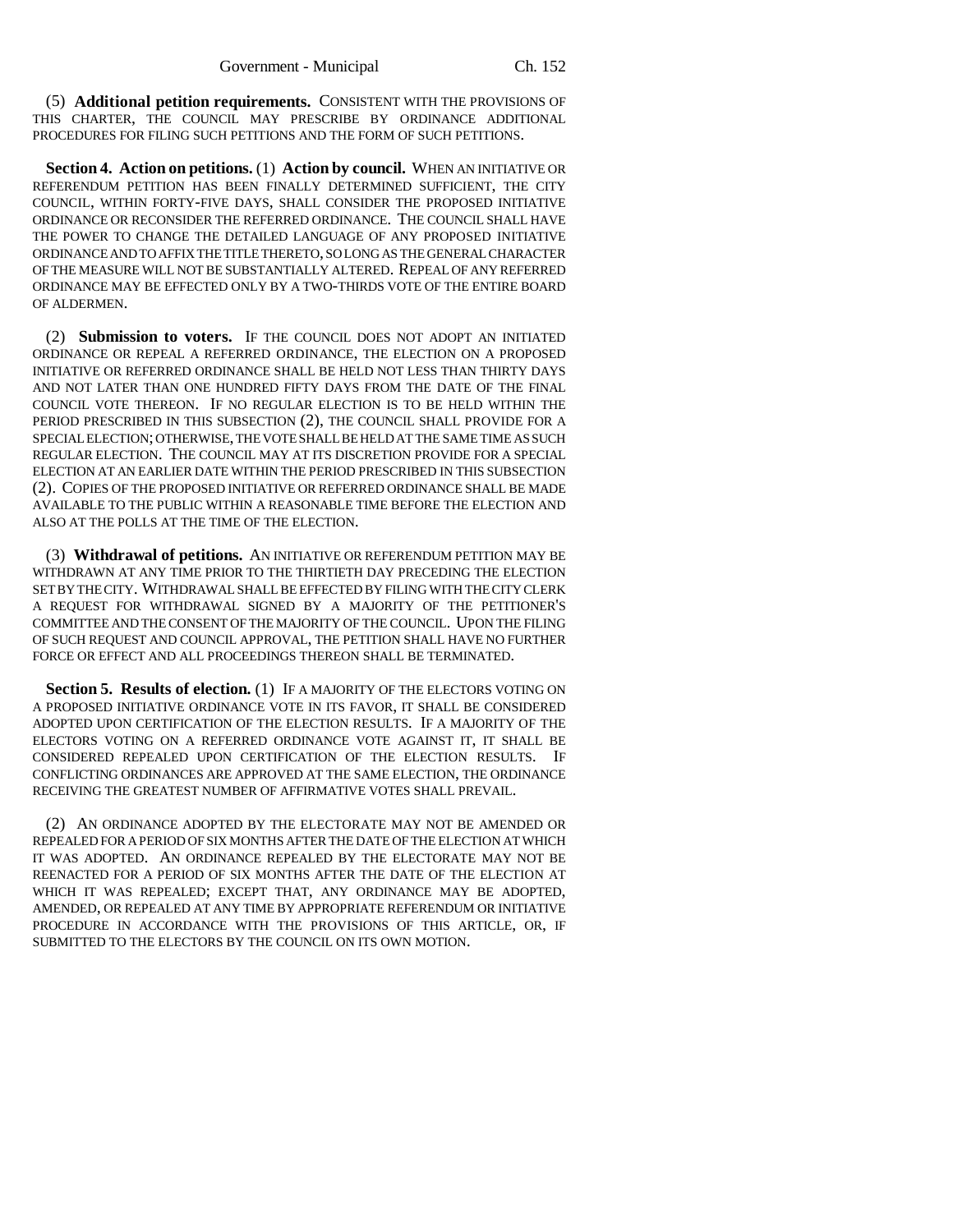(5) **Additional petition requirements.** CONSISTENT WITH THE PROVISIONS OF THIS CHARTER, THE COUNCIL MAY PRESCRIBE BY ORDINANCE ADDITIONAL PROCEDURES FOR FILING SUCH PETITIONS AND THE FORM OF SUCH PETITIONS.

**Section 4. Action on petitions.** (1) **Action by council.** WHEN AN INITIATIVE OR REFERENDUM PETITION HAS BEEN FINALLY DETERMINED SUFFICIENT, THE CITY COUNCIL, WITHIN FORTY-FIVE DAYS, SHALL CONSIDER THE PROPOSED INITIATIVE ORDINANCE OR RECONSIDER THE REFERRED ORDINANCE. THE COUNCIL SHALL HAVE THE POWER TO CHANGE THE DETAILED LANGUAGE OF ANY PROPOSED INITIATIVE ORDINANCE AND TO AFFIX THE TITLE THERETO, SO LONG AS THE GENERAL CHARACTER OF THE MEASURE WILL NOT BE SUBSTANTIALLY ALTERED. REPEAL OF ANY REFERRED ORDINANCE MAY BE EFFECTED ONLY BY A TWO-THIRDS VOTE OF THE ENTIRE BOARD OF ALDERMEN.

(2) **Submission to voters.** IF THE COUNCIL DOES NOT ADOPT AN INITIATED ORDINANCE OR REPEAL A REFERRED ORDINANCE, THE ELECTION ON A PROPOSED INITIATIVE OR REFERRED ORDINANCE SHALL BE HELD NOT LESS THAN THIRTY DAYS AND NOT LATER THAN ONE HUNDRED FIFTY DAYS FROM THE DATE OF THE FINAL COUNCIL VOTE THEREON. IF NO REGULAR ELECTION IS TO BE HELD WITHIN THE PERIOD PRESCRIBED IN THIS SUBSECTION (2), THE COUNCIL SHALL PROVIDE FOR A SPECIAL ELECTION; OTHERWISE, THE VOTE SHALL BE HELD AT THE SAME TIME AS SUCH REGULAR ELECTION. THE COUNCIL MAY AT ITS DISCRETION PROVIDE FOR A SPECIAL ELECTION AT AN EARLIER DATE WITHIN THE PERIOD PRESCRIBED IN THIS SUBSECTION (2). COPIES OF THE PROPOSED INITIATIVE OR REFERRED ORDINANCE SHALL BE MADE AVAILABLE TO THE PUBLIC WITHIN A REASONABLE TIME BEFORE THE ELECTION AND ALSO AT THE POLLS AT THE TIME OF THE ELECTION.

(3) **Withdrawal of petitions.** AN INITIATIVE OR REFERENDUM PETITION MAY BE WITHDRAWN AT ANY TIME PRIOR TO THE THIRTIETH DAY PRECEDING THE ELECTION SET BY THE CITY. WITHDRAWAL SHALL BE EFFECTED BY FILING WITH THE CITY CLERK A REQUEST FOR WITHDRAWAL SIGNED BY A MAJORITY OF THE PETITIONER'S COMMITTEE AND THE CONSENT OF THE MAJORITY OF THE COUNCIL. UPON THE FILING OF SUCH REQUEST AND COUNCIL APPROVAL, THE PETITION SHALL HAVE NO FURTHER FORCE OR EFFECT AND ALL PROCEEDINGS THEREON SHALL BE TERMINATED.

**Section 5. Results of election.** (1) IF A MAJORITY OF THE ELECTORS VOTING ON A PROPOSED INITIATIVE ORDINANCE VOTE IN ITS FAVOR, IT SHALL BE CONSIDERED ADOPTED UPON CERTIFICATION OF THE ELECTION RESULTS. IF A MAJORITY OF THE ELECTORS VOTING ON A REFERRED ORDINANCE VOTE AGAINST IT, IT SHALL BE CONSIDERED REPEALED UPON CERTIFICATION OF THE ELECTION RESULTS. IF CONFLICTING ORDINANCES ARE APPROVED AT THE SAME ELECTION, THE ORDINANCE RECEIVING THE GREATEST NUMBER OF AFFIRMATIVE VOTES SHALL PREVAIL.

(2) AN ORDINANCE ADOPTED BY THE ELECTORATE MAY NOT BE AMENDED OR REPEALED FOR A PERIOD OF SIX MONTHS AFTER THE DATE OF THE ELECTION AT WHICH IT WAS ADOPTED. AN ORDINANCE REPEALED BY THE ELECTORATE MAY NOT BE REENACTED FOR A PERIOD OF SIX MONTHS AFTER THE DATE OF THE ELECTION AT WHICH IT WAS REPEALED; EXCEPT THAT, ANY ORDINANCE MAY BE ADOPTED, AMENDED, OR REPEALED AT ANY TIME BY APPROPRIATE REFERENDUM OR INITIATIVE PROCEDURE IN ACCORDANCE WITH THE PROVISIONS OF THIS ARTICLE, OR, IF SUBMITTED TO THE ELECTORS BY THE COUNCIL ON ITS OWN MOTION.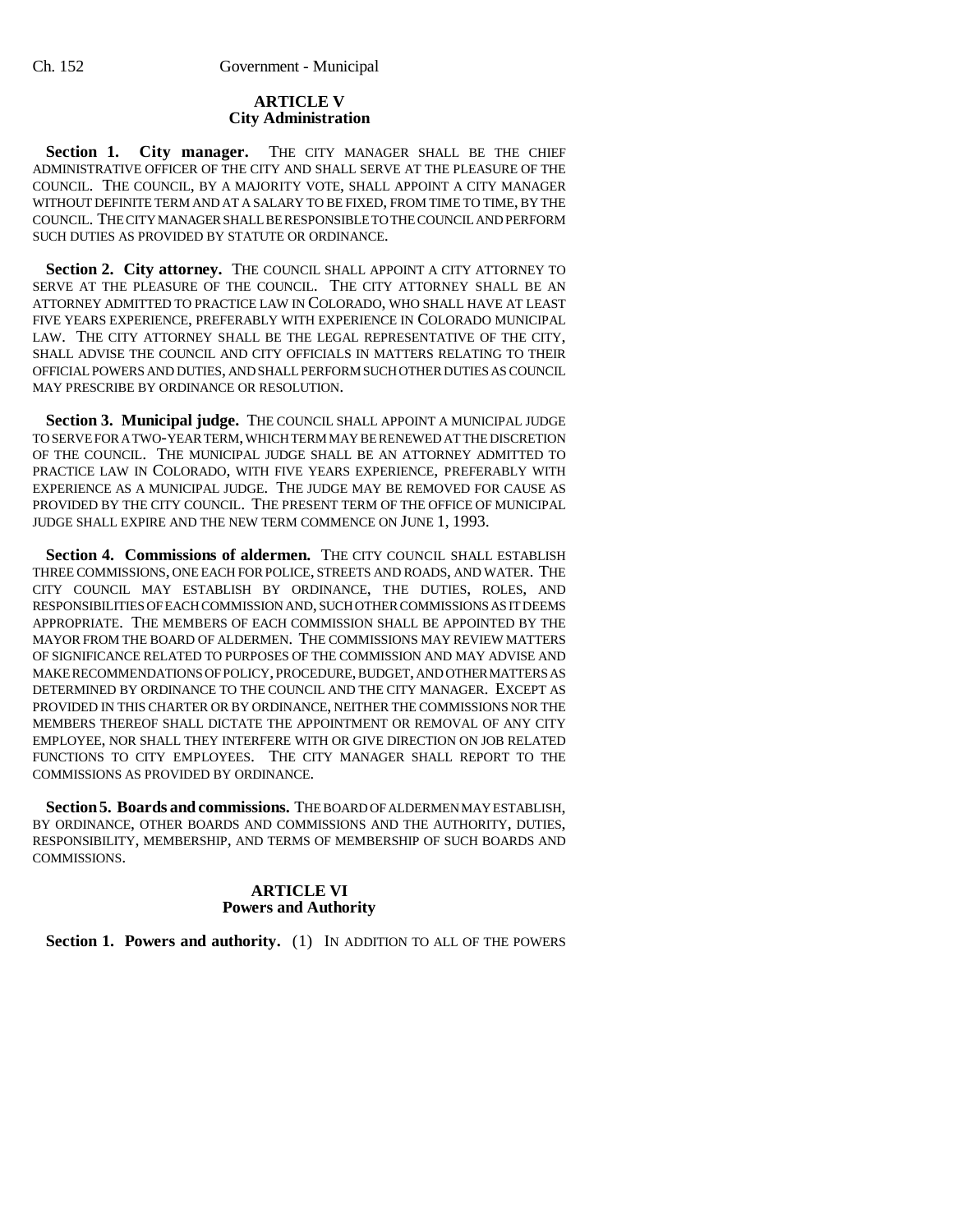### **ARTICLE V City Administration**

Section 1. City manager. THE CITY MANAGER SHALL BE THE CHIEF ADMINISTRATIVE OFFICER OF THE CITY AND SHALL SERVE AT THE PLEASURE OF THE COUNCIL. THE COUNCIL, BY A MAJORITY VOTE, SHALL APPOINT A CITY MANAGER WITHOUT DEFINITE TERM AND AT A SALARY TO BE FIXED, FROM TIME TO TIME, BY THE COUNCIL. THE CITY MANAGER SHALL BE RESPONSIBLE TO THE COUNCIL AND PERFORM SUCH DUTIES AS PROVIDED BY STATUTE OR ORDINANCE.

Section 2. City attorney. THE COUNCIL SHALL APPOINT A CITY ATTORNEY TO SERVE AT THE PLEASURE OF THE COUNCIL. THE CITY ATTORNEY SHALL BE AN ATTORNEY ADMITTED TO PRACTICE LAW IN COLORADO, WHO SHALL HAVE AT LEAST FIVE YEARS EXPERIENCE, PREFERABLY WITH EXPERIENCE IN COLORADO MUNICIPAL LAW. THE CITY ATTORNEY SHALL BE THE LEGAL REPRESENTATIVE OF THE CITY, SHALL ADVISE THE COUNCIL AND CITY OFFICIALS IN MATTERS RELATING TO THEIR OFFICIAL POWERS AND DUTIES, AND SHALL PERFORM SUCH OTHER DUTIES AS COUNCIL MAY PRESCRIBE BY ORDINANCE OR RESOLUTION.

Section 3. Municipal judge. THE COUNCIL SHALL APPOINT A MUNICIPAL JUDGE TO SERVE FOR A TWO-YEAR TERM, WHICH TERM MAY BE RENEWED AT THE DISCRETION OF THE COUNCIL. THE MUNICIPAL JUDGE SHALL BE AN ATTORNEY ADMITTED TO PRACTICE LAW IN COLORADO, WITH FIVE YEARS EXPERIENCE, PREFERABLY WITH EXPERIENCE AS A MUNICIPAL JUDGE. THE JUDGE MAY BE REMOVED FOR CAUSE AS PROVIDED BY THE CITY COUNCIL. THE PRESENT TERM OF THE OFFICE OF MUNICIPAL JUDGE SHALL EXPIRE AND THE NEW TERM COMMENCE ON JUNE 1, 1993.

Section 4. Commissions of aldermen. THE CITY COUNCIL SHALL ESTABLISH THREE COMMISSIONS, ONE EACH FOR POLICE, STREETS AND ROADS, AND WATER. THE CITY COUNCIL MAY ESTABLISH BY ORDINANCE, THE DUTIES, ROLES, AND RESPONSIBILITIES OF EACH COMMISSION AND, SUCH OTHER COMMISSIONS AS IT DEEMS APPROPRIATE. THE MEMBERS OF EACH COMMISSION SHALL BE APPOINTED BY THE MAYOR FROM THE BOARD OF ALDERMEN. THE COMMISSIONS MAY REVIEW MATTERS OF SIGNIFICANCE RELATED TO PURPOSES OF THE COMMISSION AND MAY ADVISE AND MAKE RECOMMENDATIONS OF POLICY, PROCEDURE, BUDGET, AND OTHER MATTERS AS DETERMINED BY ORDINANCE TO THE COUNCIL AND THE CITY MANAGER. EXCEPT AS PROVIDED IN THIS CHARTER OR BY ORDINANCE, NEITHER THE COMMISSIONS NOR THE MEMBERS THEREOF SHALL DICTATE THE APPOINTMENT OR REMOVAL OF ANY CITY EMPLOYEE, NOR SHALL THEY INTERFERE WITH OR GIVE DIRECTION ON JOB RELATED FUNCTIONS TO CITY EMPLOYEES. THE CITY MANAGER SHALL REPORT TO THE COMMISSIONS AS PROVIDED BY ORDINANCE.

**Section 5. Boards and commissions.** THE BOARD OF ALDERMEN MAY ESTABLISH, BY ORDINANCE, OTHER BOARDS AND COMMISSIONS AND THE AUTHORITY, DUTIES, RESPONSIBILITY, MEMBERSHIP, AND TERMS OF MEMBERSHIP OF SUCH BOARDS AND COMMISSIONS.

### **ARTICLE VI Powers and Authority**

**Section 1. Powers and authority.** (1) IN ADDITION TO ALL OF THE POWERS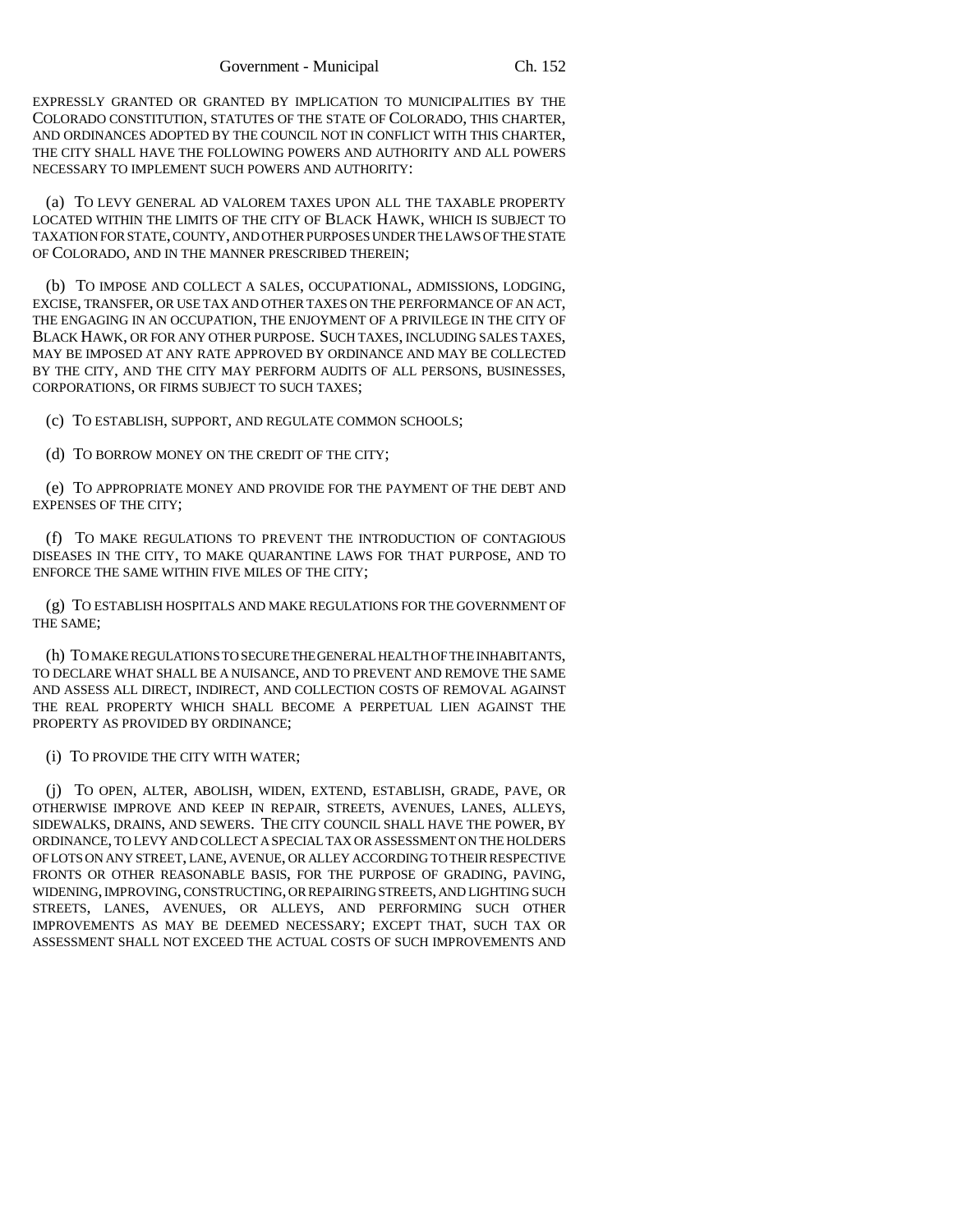EXPRESSLY GRANTED OR GRANTED BY IMPLICATION TO MUNICIPALITIES BY THE COLORADO CONSTITUTION, STATUTES OF THE STATE OF COLORADO, THIS CHARTER, AND ORDINANCES ADOPTED BY THE COUNCIL NOT IN CONFLICT WITH THIS CHARTER, THE CITY SHALL HAVE THE FOLLOWING POWERS AND AUTHORITY AND ALL POWERS NECESSARY TO IMPLEMENT SUCH POWERS AND AUTHORITY:

(a) TO LEVY GENERAL AD VALOREM TAXES UPON ALL THE TAXABLE PROPERTY LOCATED WITHIN THE LIMITS OF THE CITY OF BLACK HAWK, WHICH IS SUBJECT TO TAXATION FOR STATE, COUNTY, AND OTHER PURPOSES UNDER THE LAWS OF THE STATE OF COLORADO, AND IN THE MANNER PRESCRIBED THEREIN;

(b) TO IMPOSE AND COLLECT A SALES, OCCUPATIONAL, ADMISSIONS, LODGING, EXCISE, TRANSFER, OR USE TAX AND OTHER TAXES ON THE PERFORMANCE OF AN ACT, THE ENGAGING IN AN OCCUPATION, THE ENJOYMENT OF A PRIVILEGE IN THE CITY OF BLACK HAWK, OR FOR ANY OTHER PURPOSE. SUCH TAXES, INCLUDING SALES TAXES, MAY BE IMPOSED AT ANY RATE APPROVED BY ORDINANCE AND MAY BE COLLECTED BY THE CITY, AND THE CITY MAY PERFORM AUDITS OF ALL PERSONS, BUSINESSES, CORPORATIONS, OR FIRMS SUBJECT TO SUCH TAXES;

(c) TO ESTABLISH, SUPPORT, AND REGULATE COMMON SCHOOLS;

(d) TO BORROW MONEY ON THE CREDIT OF THE CITY;

(e) TO APPROPRIATE MONEY AND PROVIDE FOR THE PAYMENT OF THE DEBT AND EXPENSES OF THE CITY;

(f) TO MAKE REGULATIONS TO PREVENT THE INTRODUCTION OF CONTAGIOUS DISEASES IN THE CITY, TO MAKE QUARANTINE LAWS FOR THAT PURPOSE, AND TO ENFORCE THE SAME WITHIN FIVE MILES OF THE CITY;

(g) TO ESTABLISH HOSPITALS AND MAKE REGULATIONS FOR THE GOVERNMENT OF THE SAME;

(h) TO MAKE REGULATIONS TO SECURE THE GENERAL HEALTH OF THE INHABITANTS, TO DECLARE WHAT SHALL BE A NUISANCE, AND TO PREVENT AND REMOVE THE SAME AND ASSESS ALL DIRECT, INDIRECT, AND COLLECTION COSTS OF REMOVAL AGAINST THE REAL PROPERTY WHICH SHALL BECOME A PERPETUAL LIEN AGAINST THE PROPERTY AS PROVIDED BY ORDINANCE;

#### (i) TO PROVIDE THE CITY WITH WATER;

(j) TO OPEN, ALTER, ABOLISH, WIDEN, EXTEND, ESTABLISH, GRADE, PAVE, OR OTHERWISE IMPROVE AND KEEP IN REPAIR, STREETS, AVENUES, LANES, ALLEYS, SIDEWALKS, DRAINS, AND SEWERS. THE CITY COUNCIL SHALL HAVE THE POWER, BY ORDINANCE, TO LEVY AND COLLECT A SPECIAL TAX OR ASSESSMENT ON THE HOLDERS OF LOTS ON ANY STREET, LANE, AVENUE, OR ALLEY ACCORDING TO THEIR RESPECTIVE FRONTS OR OTHER REASONABLE BASIS, FOR THE PURPOSE OF GRADING, PAVING, WIDENING, IMPROVING, CONSTRUCTING, OR REPAIRING STREETS, AND LIGHTING SUCH STREETS, LANES, AVENUES, OR ALLEYS, AND PERFORMING SUCH OTHER IMPROVEMENTS AS MAY BE DEEMED NECESSARY; EXCEPT THAT, SUCH TAX OR ASSESSMENT SHALL NOT EXCEED THE ACTUAL COSTS OF SUCH IMPROVEMENTS AND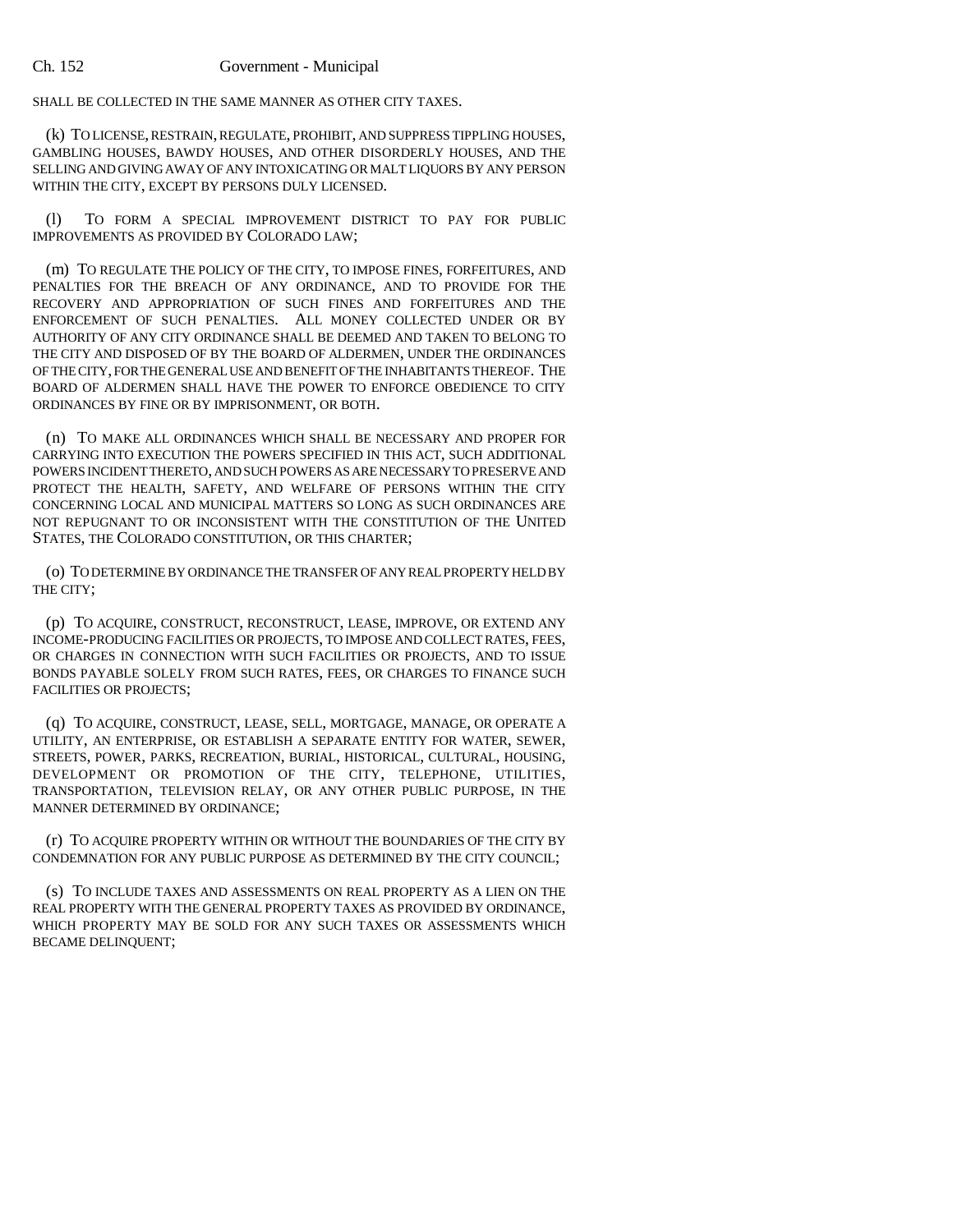SHALL BE COLLECTED IN THE SAME MANNER AS OTHER CITY TAXES.

(k) TO LICENSE, RESTRAIN, REGULATE, PROHIBIT, AND SUPPRESS TIPPLING HOUSES, GAMBLING HOUSES, BAWDY HOUSES, AND OTHER DISORDERLY HOUSES, AND THE SELLING AND GIVING AWAY OF ANY INTOXICATING OR MALT LIQUORS BY ANY PERSON WITHIN THE CITY, EXCEPT BY PERSONS DULY LICENSED.

(l) TO FORM A SPECIAL IMPROVEMENT DISTRICT TO PAY FOR PUBLIC IMPROVEMENTS AS PROVIDED BY COLORADO LAW;

(m) TO REGULATE THE POLICY OF THE CITY, TO IMPOSE FINES, FORFEITURES, AND PENALTIES FOR THE BREACH OF ANY ORDINANCE, AND TO PROVIDE FOR THE RECOVERY AND APPROPRIATION OF SUCH FINES AND FORFEITURES AND THE ENFORCEMENT OF SUCH PENALTIES. ALL MONEY COLLECTED UNDER OR BY AUTHORITY OF ANY CITY ORDINANCE SHALL BE DEEMED AND TAKEN TO BELONG TO THE CITY AND DISPOSED OF BY THE BOARD OF ALDERMEN, UNDER THE ORDINANCES OF THE CITY, FOR THE GENERAL USE AND BENEFIT OF THE INHABITANTS THEREOF. THE BOARD OF ALDERMEN SHALL HAVE THE POWER TO ENFORCE OBEDIENCE TO CITY ORDINANCES BY FINE OR BY IMPRISONMENT, OR BOTH.

(n) TO MAKE ALL ORDINANCES WHICH SHALL BE NECESSARY AND PROPER FOR CARRYING INTO EXECUTION THE POWERS SPECIFIED IN THIS ACT, SUCH ADDITIONAL POWERS INCIDENT THERETO, AND SUCH POWERS AS ARE NECESSARY TO PRESERVE AND PROTECT THE HEALTH, SAFETY, AND WELFARE OF PERSONS WITHIN THE CITY CONCERNING LOCAL AND MUNICIPAL MATTERS SO LONG AS SUCH ORDINANCES ARE NOT REPUGNANT TO OR INCONSISTENT WITH THE CONSTITUTION OF THE UNITED STATES, THE COLORADO CONSTITUTION, OR THIS CHARTER;

(o) TO DETERMINE BY ORDINANCE THE TRANSFER OF ANY REAL PROPERTY HELD BY THE CITY;

(p) TO ACQUIRE, CONSTRUCT, RECONSTRUCT, LEASE, IMPROVE, OR EXTEND ANY INCOME-PRODUCING FACILITIES OR PROJECTS, TO IMPOSE AND COLLECT RATES, FEES, OR CHARGES IN CONNECTION WITH SUCH FACILITIES OR PROJECTS, AND TO ISSUE BONDS PAYABLE SOLELY FROM SUCH RATES, FEES, OR CHARGES TO FINANCE SUCH FACILITIES OR PROJECTS;

(q) TO ACQUIRE, CONSTRUCT, LEASE, SELL, MORTGAGE, MANAGE, OR OPERATE A UTILITY, AN ENTERPRISE, OR ESTABLISH A SEPARATE ENTITY FOR WATER, SEWER, STREETS, POWER, PARKS, RECREATION, BURIAL, HISTORICAL, CULTURAL, HOUSING, DEVELOPMENT OR PROMOTION OF THE CITY, TELEPHONE, UTILITIES, TRANSPORTATION, TELEVISION RELAY, OR ANY OTHER PUBLIC PURPOSE, IN THE MANNER DETERMINED BY ORDINANCE;

(r) TO ACQUIRE PROPERTY WITHIN OR WITHOUT THE BOUNDARIES OF THE CITY BY CONDEMNATION FOR ANY PUBLIC PURPOSE AS DETERMINED BY THE CITY COUNCIL;

(s) TO INCLUDE TAXES AND ASSESSMENTS ON REAL PROPERTY AS A LIEN ON THE REAL PROPERTY WITH THE GENERAL PROPERTY TAXES AS PROVIDED BY ORDINANCE, WHICH PROPERTY MAY BE SOLD FOR ANY SUCH TAXES OR ASSESSMENTS WHICH BECAME DELINQUENT;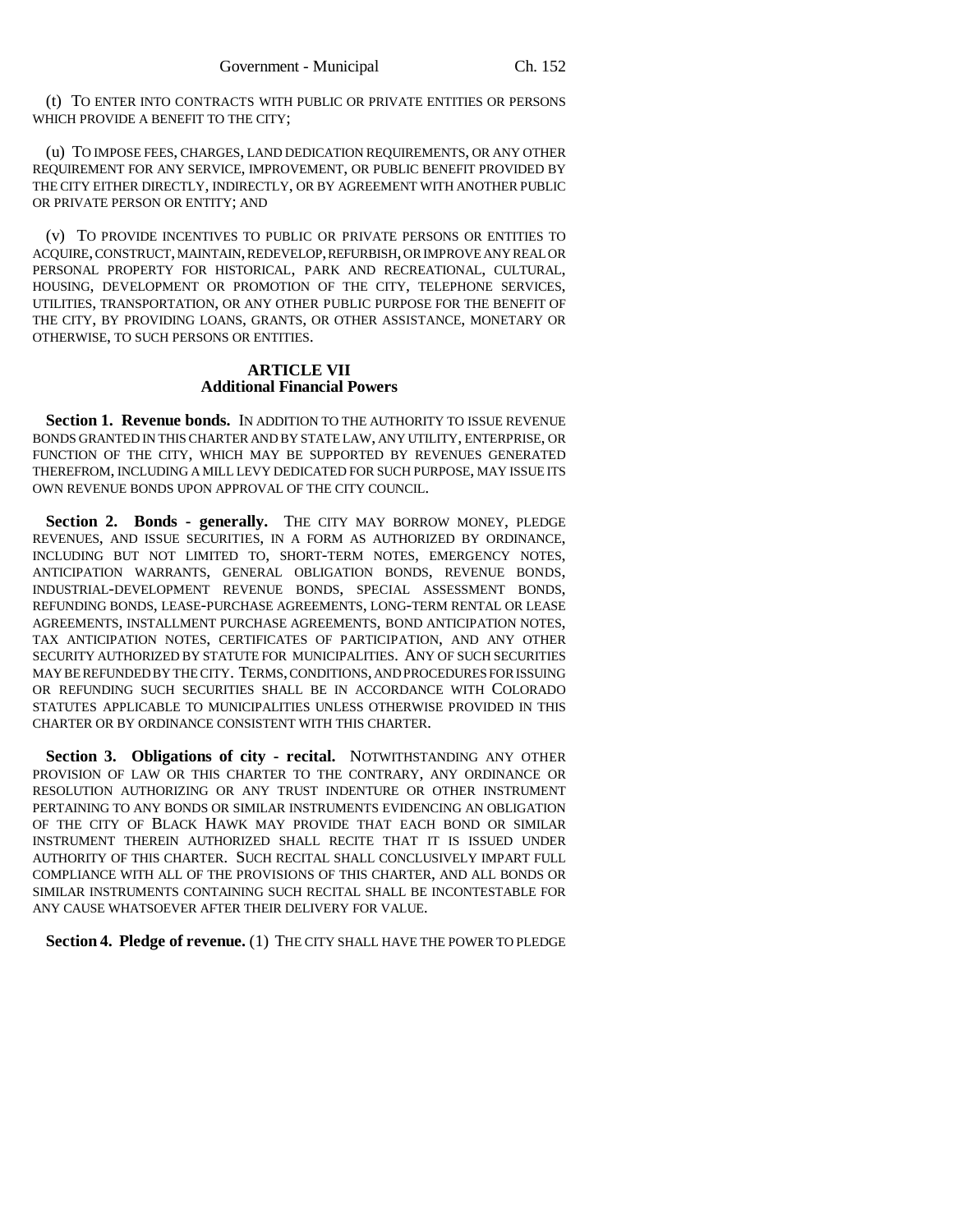(t) TO ENTER INTO CONTRACTS WITH PUBLIC OR PRIVATE ENTITIES OR PERSONS WHICH PROVIDE A BENEFIT TO THE CITY;

(u) TO IMPOSE FEES, CHARGES, LAND DEDICATION REQUIREMENTS, OR ANY OTHER REQUIREMENT FOR ANY SERVICE, IMPROVEMENT, OR PUBLIC BENEFIT PROVIDED BY THE CITY EITHER DIRECTLY, INDIRECTLY, OR BY AGREEMENT WITH ANOTHER PUBLIC OR PRIVATE PERSON OR ENTITY; AND

(v) TO PROVIDE INCENTIVES TO PUBLIC OR PRIVATE PERSONS OR ENTITIES TO ACQUIRE, CONSTRUCT, MAINTAIN, REDEVELOP, REFURBISH, OR IMPROVE ANY REAL OR PERSONAL PROPERTY FOR HISTORICAL, PARK AND RECREATIONAL, CULTURAL, HOUSING, DEVELOPMENT OR PROMOTION OF THE CITY, TELEPHONE SERVICES, UTILITIES, TRANSPORTATION, OR ANY OTHER PUBLIC PURPOSE FOR THE BENEFIT OF THE CITY, BY PROVIDING LOANS, GRANTS, OR OTHER ASSISTANCE, MONETARY OR OTHERWISE, TO SUCH PERSONS OR ENTITIES.

## **ARTICLE VII Additional Financial Powers**

Section 1. Revenue bonds. IN ADDITION TO THE AUTHORITY TO ISSUE REVENUE BONDS GRANTED IN THIS CHARTER AND BY STATE LAW, ANY UTILITY, ENTERPRISE, OR FUNCTION OF THE CITY, WHICH MAY BE SUPPORTED BY REVENUES GENERATED THEREFROM, INCLUDING A MILL LEVY DEDICATED FOR SUCH PURPOSE, MAY ISSUE ITS OWN REVENUE BONDS UPON APPROVAL OF THE CITY COUNCIL.

Section 2. Bonds - generally. THE CITY MAY BORROW MONEY, PLEDGE REVENUES, AND ISSUE SECURITIES, IN A FORM AS AUTHORIZED BY ORDINANCE, INCLUDING BUT NOT LIMITED TO, SHORT-TERM NOTES, EMERGENCY NOTES, ANTICIPATION WARRANTS, GENERAL OBLIGATION BONDS, REVENUE BONDS, INDUSTRIAL-DEVELOPMENT REVENUE BONDS, SPECIAL ASSESSMENT BONDS, REFUNDING BONDS, LEASE-PURCHASE AGREEMENTS, LONG-TERM RENTAL OR LEASE AGREEMENTS, INSTALLMENT PURCHASE AGREEMENTS, BOND ANTICIPATION NOTES, TAX ANTICIPATION NOTES, CERTIFICATES OF PARTICIPATION, AND ANY OTHER SECURITY AUTHORIZED BY STATUTE FOR MUNICIPALITIES. ANY OF SUCH SECURITIES MAY BE REFUNDED BY THE CITY. TERMS, CONDITIONS, AND PROCEDURES FOR ISSUING OR REFUNDING SUCH SECURITIES SHALL BE IN ACCORDANCE WITH COLORADO STATUTES APPLICABLE TO MUNICIPALITIES UNLESS OTHERWISE PROVIDED IN THIS CHARTER OR BY ORDINANCE CONSISTENT WITH THIS CHARTER.

**Section 3. Obligations of city - recital.** NOTWITHSTANDING ANY OTHER PROVISION OF LAW OR THIS CHARTER TO THE CONTRARY, ANY ORDINANCE OR RESOLUTION AUTHORIZING OR ANY TRUST INDENTURE OR OTHER INSTRUMENT PERTAINING TO ANY BONDS OR SIMILAR INSTRUMENTS EVIDENCING AN OBLIGATION OF THE CITY OF BLACK HAWK MAY PROVIDE THAT EACH BOND OR SIMILAR INSTRUMENT THEREIN AUTHORIZED SHALL RECITE THAT IT IS ISSUED UNDER AUTHORITY OF THIS CHARTER. SUCH RECITAL SHALL CONCLUSIVELY IMPART FULL COMPLIANCE WITH ALL OF THE PROVISIONS OF THIS CHARTER, AND ALL BONDS OR SIMILAR INSTRUMENTS CONTAINING SUCH RECITAL SHALL BE INCONTESTABLE FOR ANY CAUSE WHATSOEVER AFTER THEIR DELIVERY FOR VALUE.

Section 4. Pledge of revenue. (1) THE CITY SHALL HAVE THE POWER TO PLEDGE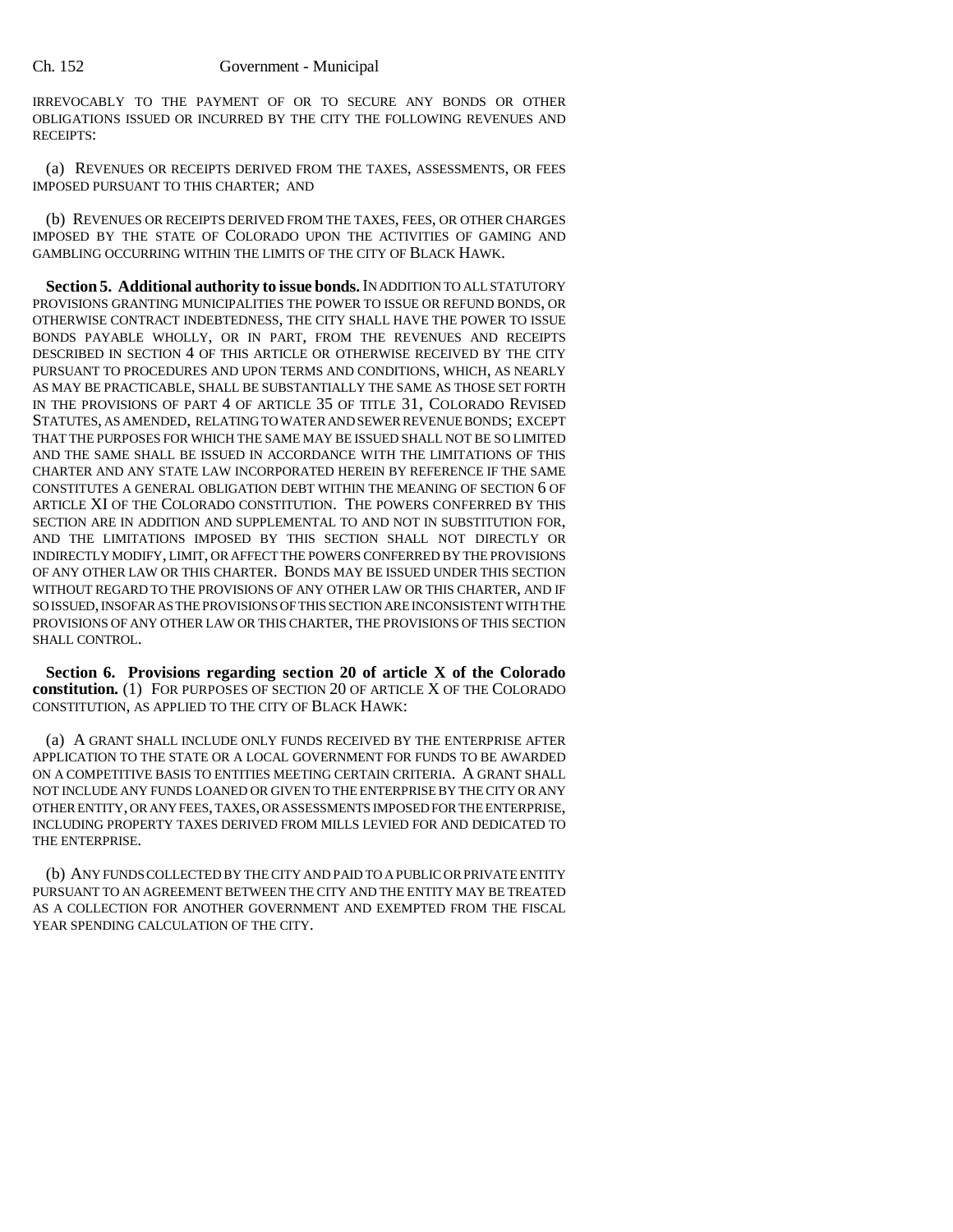IRREVOCABLY TO THE PAYMENT OF OR TO SECURE ANY BONDS OR OTHER OBLIGATIONS ISSUED OR INCURRED BY THE CITY THE FOLLOWING REVENUES AND RECEIPTS:

(a) REVENUES OR RECEIPTS DERIVED FROM THE TAXES, ASSESSMENTS, OR FEES IMPOSED PURSUANT TO THIS CHARTER; AND

(b) REVENUES OR RECEIPTS DERIVED FROM THE TAXES, FEES, OR OTHER CHARGES IMPOSED BY THE STATE OF COLORADO UPON THE ACTIVITIES OF GAMING AND GAMBLING OCCURRING WITHIN THE LIMITS OF THE CITY OF BLACK HAWK.

**Section 5. Additional authority to issue bonds.** IN ADDITION TO ALL STATUTORY PROVISIONS GRANTING MUNICIPALITIES THE POWER TO ISSUE OR REFUND BONDS, OR OTHERWISE CONTRACT INDEBTEDNESS, THE CITY SHALL HAVE THE POWER TO ISSUE BONDS PAYABLE WHOLLY, OR IN PART, FROM THE REVENUES AND RECEIPTS DESCRIBED IN SECTION 4 OF THIS ARTICLE OR OTHERWISE RECEIVED BY THE CITY PURSUANT TO PROCEDURES AND UPON TERMS AND CONDITIONS, WHICH, AS NEARLY AS MAY BE PRACTICABLE, SHALL BE SUBSTANTIALLY THE SAME AS THOSE SET FORTH IN THE PROVISIONS OF PART 4 OF ARTICLE 35 OF TITLE 31, COLORADO REVISED STATUTES, AS AMENDED, RELATING TO WATER AND SEWER REVENUE BONDS; EXCEPT THAT THE PURPOSES FOR WHICH THE SAME MAY BE ISSUED SHALL NOT BE SO LIMITED AND THE SAME SHALL BE ISSUED IN ACCORDANCE WITH THE LIMITATIONS OF THIS CHARTER AND ANY STATE LAW INCORPORATED HEREIN BY REFERENCE IF THE SAME CONSTITUTES A GENERAL OBLIGATION DEBT WITHIN THE MEANING OF SECTION 6 OF ARTICLE XI OF THE COLORADO CONSTITUTION. THE POWERS CONFERRED BY THIS SECTION ARE IN ADDITION AND SUPPLEMENTAL TO AND NOT IN SUBSTITUTION FOR, AND THE LIMITATIONS IMPOSED BY THIS SECTION SHALL NOT DIRECTLY OR INDIRECTLY MODIFY, LIMIT, OR AFFECT THE POWERS CONFERRED BY THE PROVISIONS OF ANY OTHER LAW OR THIS CHARTER. BONDS MAY BE ISSUED UNDER THIS SECTION WITHOUT REGARD TO THE PROVISIONS OF ANY OTHER LAW OR THIS CHARTER, AND IF SO ISSUED, INSOFAR AS THE PROVISIONS OF THIS SECTION ARE INCONSISTENT WITH THE PROVISIONS OF ANY OTHER LAW OR THIS CHARTER, THE PROVISIONS OF THIS SECTION SHALL CONTROL.

**Section 6. Provisions regarding section 20 of article X of the Colorado constitution.** (1) FOR PURPOSES OF SECTION 20 OF ARTICLE X OF THE COLORADO CONSTITUTION, AS APPLIED TO THE CITY OF BLACK HAWK:

(a) A GRANT SHALL INCLUDE ONLY FUNDS RECEIVED BY THE ENTERPRISE AFTER APPLICATION TO THE STATE OR A LOCAL GOVERNMENT FOR FUNDS TO BE AWARDED ON A COMPETITIVE BASIS TO ENTITIES MEETING CERTAIN CRITERIA. A GRANT SHALL NOT INCLUDE ANY FUNDS LOANED OR GIVEN TO THE ENTERPRISE BY THE CITY OR ANY OTHER ENTITY, OR ANY FEES, TAXES, OR ASSESSMENTS IMPOSED FOR THE ENTERPRISE, INCLUDING PROPERTY TAXES DERIVED FROM MILLS LEVIED FOR AND DEDICATED TO THE ENTERPRISE.

(b) ANY FUNDS COLLECTED BY THE CITY AND PAID TO A PUBLIC OR PRIVATE ENTITY PURSUANT TO AN AGREEMENT BETWEEN THE CITY AND THE ENTITY MAY BE TREATED AS A COLLECTION FOR ANOTHER GOVERNMENT AND EXEMPTED FROM THE FISCAL YEAR SPENDING CALCULATION OF THE CITY.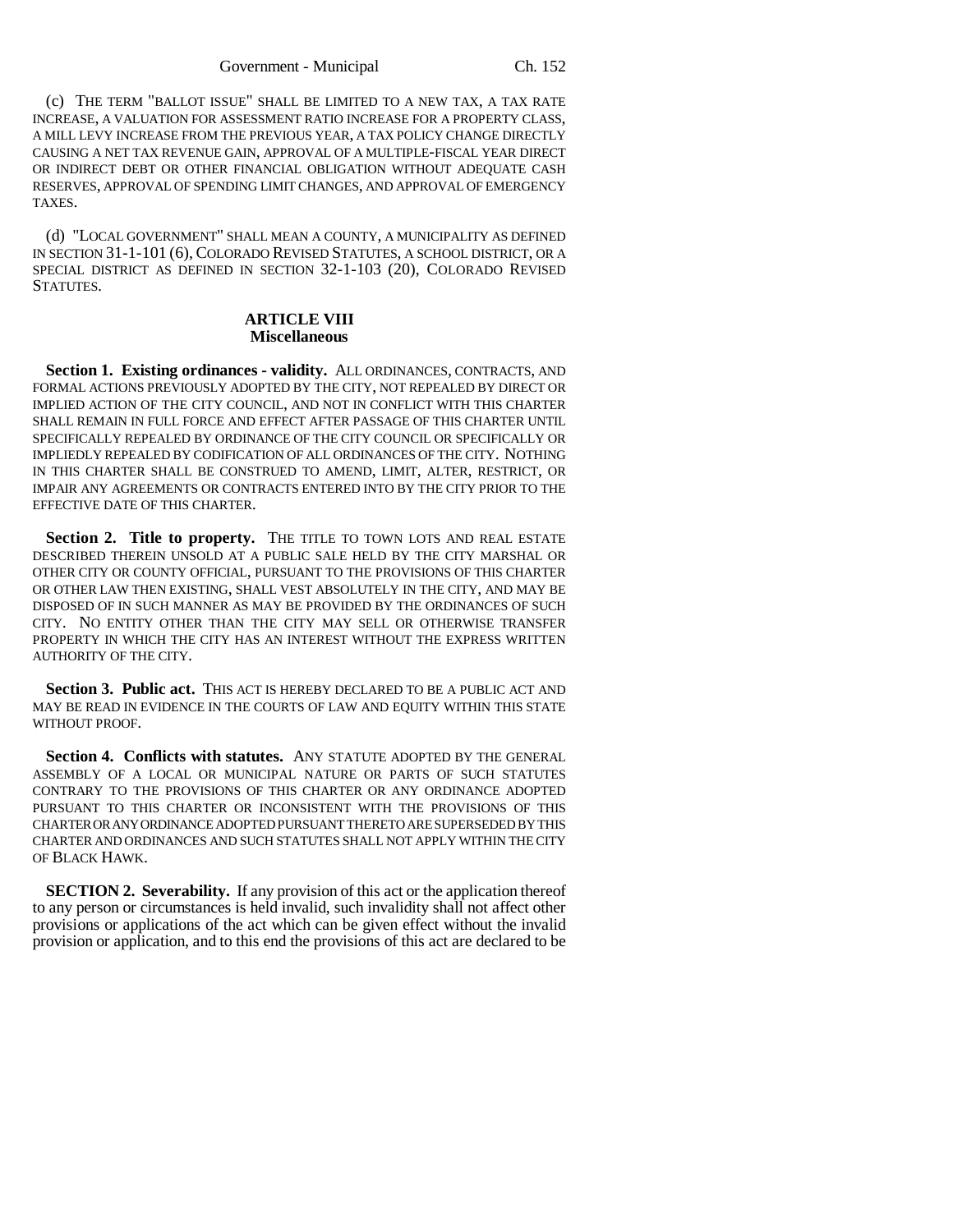(c) THE TERM "BALLOT ISSUE" SHALL BE LIMITED TO A NEW TAX, A TAX RATE INCREASE, A VALUATION FOR ASSESSMENT RATIO INCREASE FOR A PROPERTY CLASS, A MILL LEVY INCREASE FROM THE PREVIOUS YEAR, A TAX POLICY CHANGE DIRECTLY CAUSING A NET TAX REVENUE GAIN, APPROVAL OF A MULTIPLE-FISCAL YEAR DIRECT OR INDIRECT DEBT OR OTHER FINANCIAL OBLIGATION WITHOUT ADEQUATE CASH RESERVES, APPROVAL OF SPENDING LIMIT CHANGES, AND APPROVAL OF EMERGENCY TAXES.

(d) "LOCAL GOVERNMENT" SHALL MEAN A COUNTY, A MUNICIPALITY AS DEFINED IN SECTION 31-1-101 (6), COLORADO REVISED STATUTES, A SCHOOL DISTRICT, OR A SPECIAL DISTRICT AS DEFINED IN SECTION 32-1-103 (20), COLORADO REVISED STATUTES.

#### **ARTICLE VIII Miscellaneous**

**Section 1. Existing ordinances - validity.** ALL ORDINANCES, CONTRACTS, AND FORMAL ACTIONS PREVIOUSLY ADOPTED BY THE CITY, NOT REPEALED BY DIRECT OR IMPLIED ACTION OF THE CITY COUNCIL, AND NOT IN CONFLICT WITH THIS CHARTER SHALL REMAIN IN FULL FORCE AND EFFECT AFTER PASSAGE OF THIS CHARTER UNTIL SPECIFICALLY REPEALED BY ORDINANCE OF THE CITY COUNCIL OR SPECIFICALLY OR IMPLIEDLY REPEALED BY CODIFICATION OF ALL ORDINANCES OF THE CITY. NOTHING IN THIS CHARTER SHALL BE CONSTRUED TO AMEND, LIMIT, ALTER, RESTRICT, OR IMPAIR ANY AGREEMENTS OR CONTRACTS ENTERED INTO BY THE CITY PRIOR TO THE EFFECTIVE DATE OF THIS CHARTER.

Section 2. Title to property. THE TITLE TO TOWN LOTS AND REAL ESTATE DESCRIBED THEREIN UNSOLD AT A PUBLIC SALE HELD BY THE CITY MARSHAL OR OTHER CITY OR COUNTY OFFICIAL, PURSUANT TO THE PROVISIONS OF THIS CHARTER OR OTHER LAW THEN EXISTING, SHALL VEST ABSOLUTELY IN THE CITY, AND MAY BE DISPOSED OF IN SUCH MANNER AS MAY BE PROVIDED BY THE ORDINANCES OF SUCH CITY. NO ENTITY OTHER THAN THE CITY MAY SELL OR OTHERWISE TRANSFER PROPERTY IN WHICH THE CITY HAS AN INTEREST WITHOUT THE EXPRESS WRITTEN AUTHORITY OF THE CITY.

**Section 3. Public act.** THIS ACT IS HEREBY DECLARED TO BE A PUBLIC ACT AND MAY BE READ IN EVIDENCE IN THE COURTS OF LAW AND EQUITY WITHIN THIS STATE WITHOUT PROOF.

**Section 4. Conflicts with statutes.** ANY STATUTE ADOPTED BY THE GENERAL ASSEMBLY OF A LOCAL OR MUNICIPAL NATURE OR PARTS OF SUCH STATUTES CONTRARY TO THE PROVISIONS OF THIS CHARTER OR ANY ORDINANCE ADOPTED PURSUANT TO THIS CHARTER OR INCONSISTENT WITH THE PROVISIONS OF THIS CHARTER OR ANY ORDINANCE ADOPTED PURSUANT THERETO ARE SUPERSEDED BY THIS CHARTER AND ORDINANCES AND SUCH STATUTES SHALL NOT APPLY WITHIN THE CITY OF BLACK HAWK.

**SECTION 2. Severability.** If any provision of this act or the application thereof to any person or circumstances is held invalid, such invalidity shall not affect other provisions or applications of the act which can be given effect without the invalid provision or application, and to this end the provisions of this act are declared to be